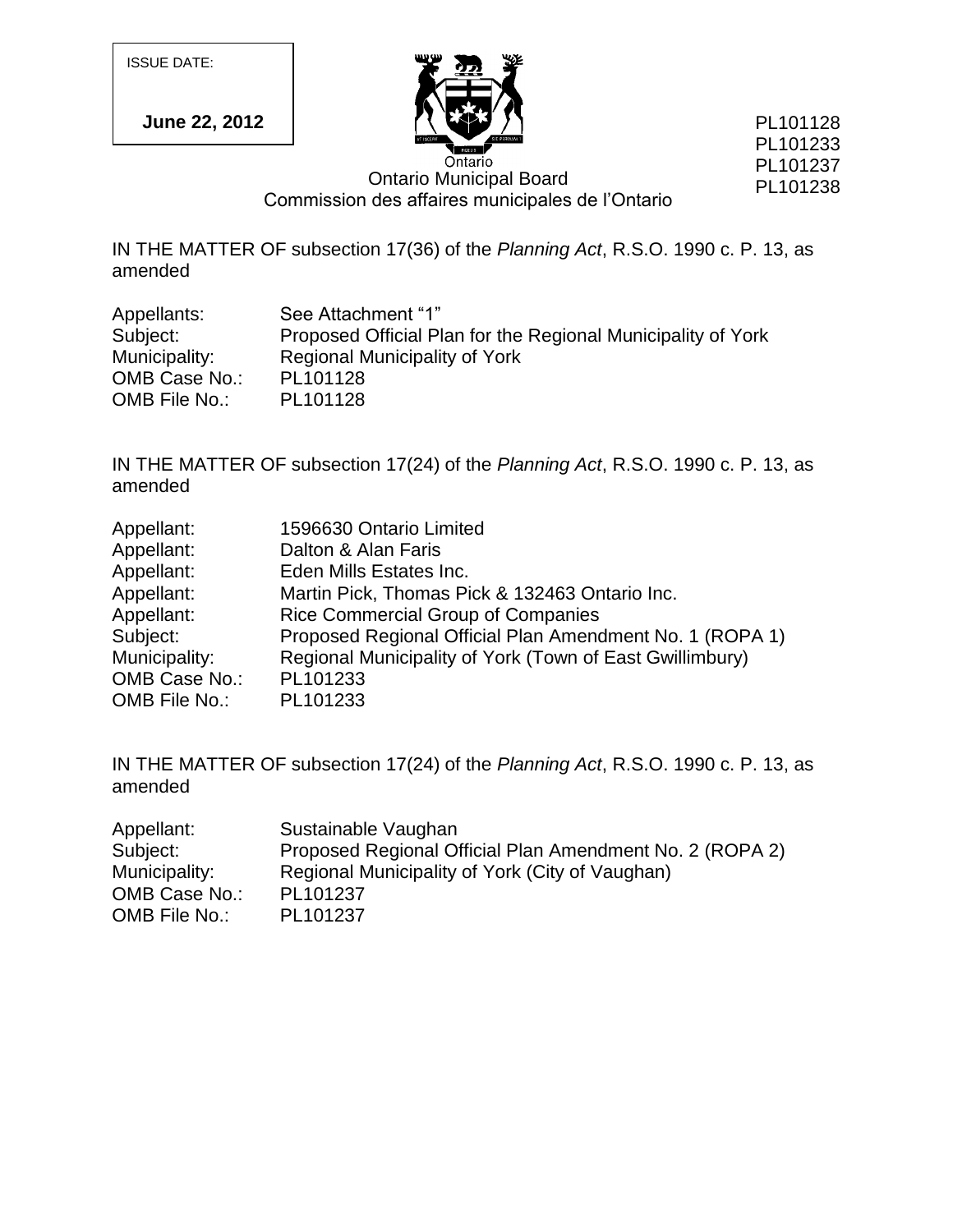ISSUE DATE:

**June 22, 2012**



PL101128 PL101233 PL101237 PL101238

Ontario Municipal Board Commission des affaires municipales de l"Ontario

IN THE MATTER OF subsection 17(36) of the *Planning Act*, R.S.O. 1990 c. P. 13, as amended

| Appellants:   | See Attachment "1"                                           |
|---------------|--------------------------------------------------------------|
| Subject:      | Proposed Official Plan for the Regional Municipality of York |
| Municipality: | <b>Regional Municipality of York</b>                         |
| OMB Case No.: | PL101128                                                     |
| OMB File No.: | PL101128                                                     |

IN THE MATTER OF subsection 17(24) of the *Planning Act*, R.S.O. 1990 c. P. 13, as amended

| Appellant:    | 1596630 Ontario Limited                                  |
|---------------|----------------------------------------------------------|
| Appellant:    | Dalton & Alan Faris                                      |
| Appellant:    | Eden Mills Estates Inc.                                  |
| Appellant:    | Martin Pick, Thomas Pick & 132463 Ontario Inc.           |
| Appellant:    | <b>Rice Commercial Group of Companies</b>                |
| Subject:      | Proposed Regional Official Plan Amendment No. 1 (ROPA 1) |
| Municipality: | Regional Municipality of York (Town of East Gwillimbury) |
| OMB Case No.: | PL101233                                                 |
| OMB File No.: | PL101233                                                 |

IN THE MATTER OF subsection 17(24) of the *Planning Act*, R.S.O. 1990 c. P. 13, as amended

| Appellant:    | Sustainable Vaughan                                      |
|---------------|----------------------------------------------------------|
| Subject:      | Proposed Regional Official Plan Amendment No. 2 (ROPA 2) |
| Municipality: | Regional Municipality of York (City of Vaughan)          |
| OMB Case No.: | PL101237                                                 |
| OMB File No.: | PL101237                                                 |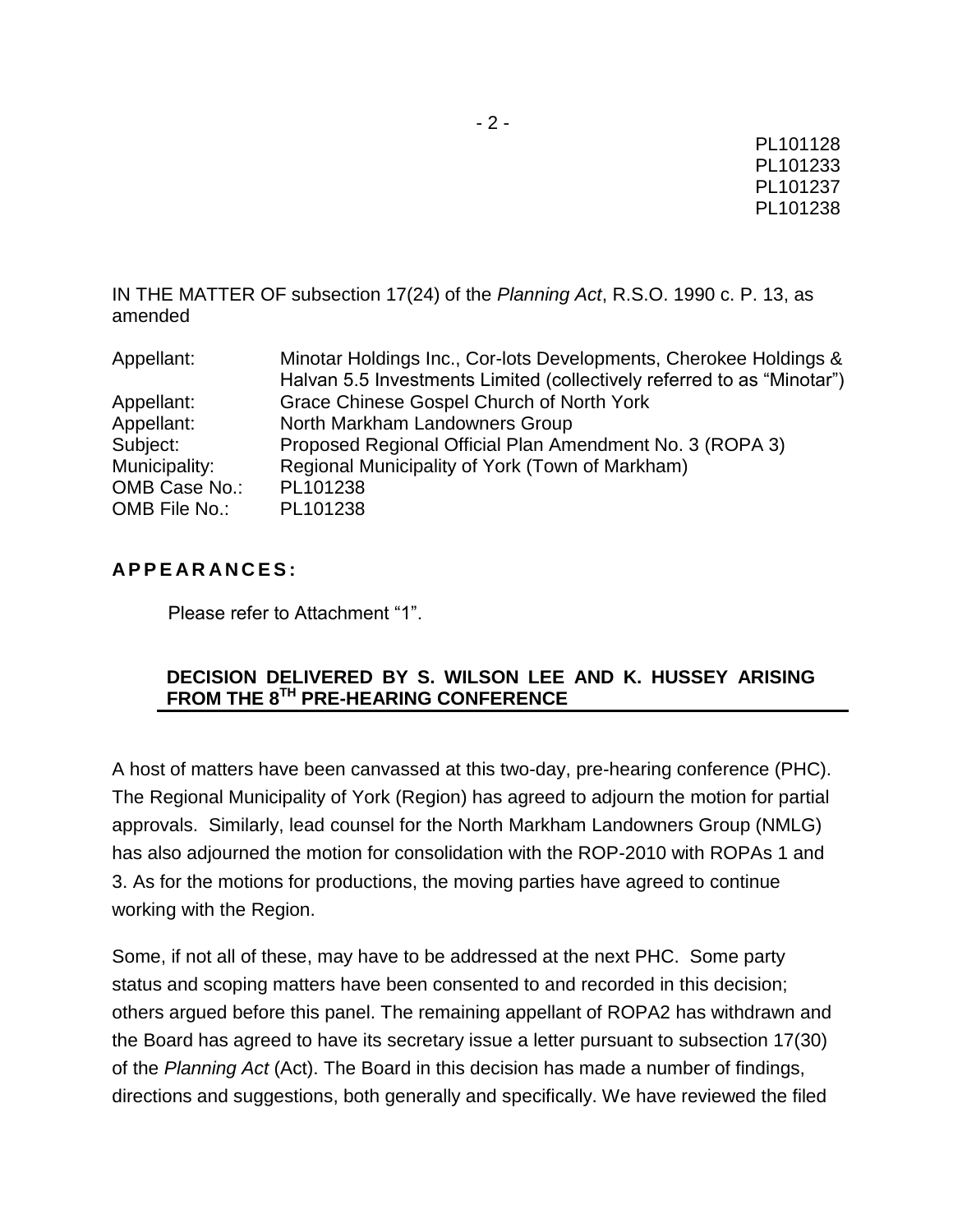IN THE MATTER OF subsection 17(24) of the *Planning Act*, R.S.O. 1990 c. P. 13, as amended

| Appellant:    | Minotar Holdings Inc., Cor-lots Developments, Cherokee Holdings &      |
|---------------|------------------------------------------------------------------------|
|               | Halvan 5.5 Investments Limited (collectively referred to as "Minotar") |
| Appellant:    | Grace Chinese Gospel Church of North York                              |
| Appellant:    | North Markham Landowners Group                                         |
| Subject:      | Proposed Regional Official Plan Amendment No. 3 (ROPA 3)               |
| Municipality: | Regional Municipality of York (Town of Markham)                        |
| OMB Case No.: | PL101238                                                               |
| OMB File No.: | PL101238                                                               |

## **A P P E A R A N C E S :**

Please refer to Attachment "1".

# **DECISION DELIVERED BY S. WILSON LEE AND K. HUSSEY ARISING FROM THE 8TH PRE-HEARING CONFERENCE**

A host of matters have been canvassed at this two-day, pre-hearing conference (PHC). The Regional Municipality of York (Region) has agreed to adjourn the motion for partial approvals. Similarly, lead counsel for the North Markham Landowners Group (NMLG) has also adjourned the motion for consolidation with the ROP-2010 with ROPAs 1 and 3. As for the motions for productions, the moving parties have agreed to continue working with the Region.

Some, if not all of these, may have to be addressed at the next PHC. Some party status and scoping matters have been consented to and recorded in this decision; others argued before this panel. The remaining appellant of ROPA2 has withdrawn and the Board has agreed to have its secretary issue a letter pursuant to subsection 17(30) of the *Planning Act* (Act). The Board in this decision has made a number of findings, directions and suggestions, both generally and specifically. We have reviewed the filed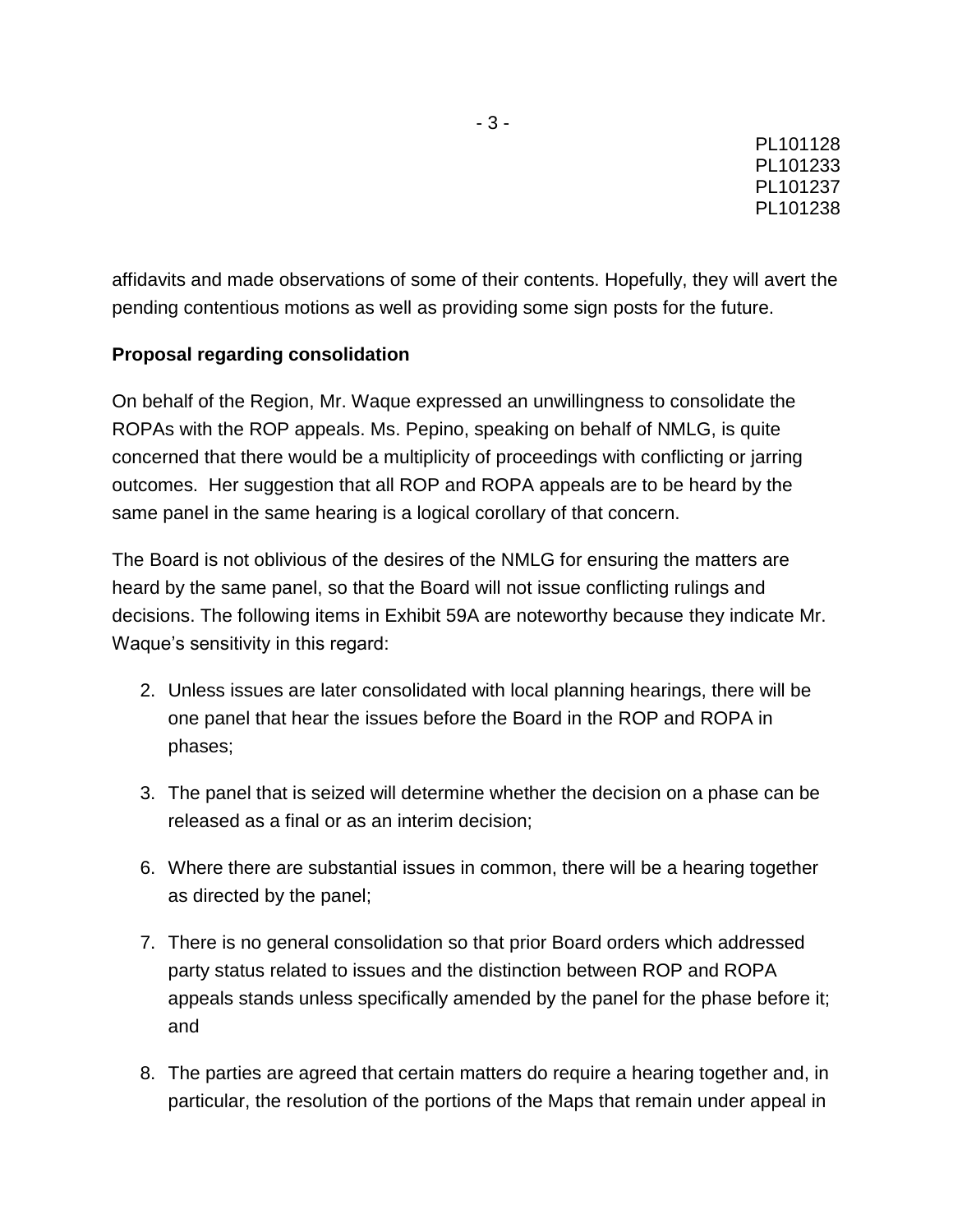affidavits and made observations of some of their contents. Hopefully, they will avert the pending contentious motions as well as providing some sign posts for the future.

## **Proposal regarding consolidation**

On behalf of the Region, Mr. Waque expressed an unwillingness to consolidate the ROPAs with the ROP appeals. Ms. Pepino, speaking on behalf of NMLG, is quite concerned that there would be a multiplicity of proceedings with conflicting or jarring outcomes. Her suggestion that all ROP and ROPA appeals are to be heard by the same panel in the same hearing is a logical corollary of that concern.

The Board is not oblivious of the desires of the NMLG for ensuring the matters are heard by the same panel, so that the Board will not issue conflicting rulings and decisions. The following items in Exhibit 59A are noteworthy because they indicate Mr. Waque's sensitivity in this regard:

- 2. Unless issues are later consolidated with local planning hearings, there will be one panel that hear the issues before the Board in the ROP and ROPA in phases;
- 3. The panel that is seized will determine whether the decision on a phase can be released as a final or as an interim decision;
- 6. Where there are substantial issues in common, there will be a hearing together as directed by the panel;
- 7. There is no general consolidation so that prior Board orders which addressed party status related to issues and the distinction between ROP and ROPA appeals stands unless specifically amended by the panel for the phase before it; and
- 8. The parties are agreed that certain matters do require a hearing together and, in particular, the resolution of the portions of the Maps that remain under appeal in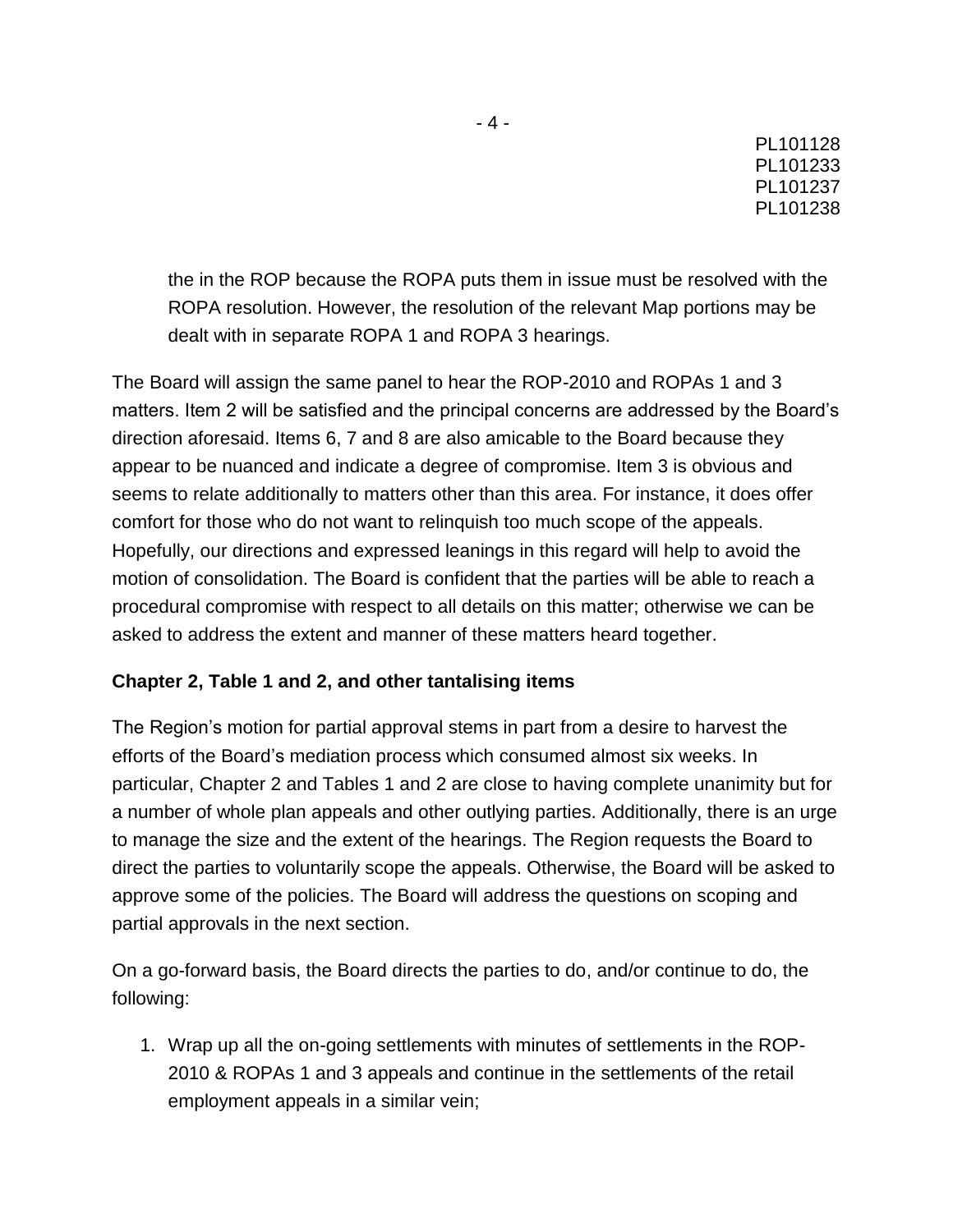the in the ROP because the ROPA puts them in issue must be resolved with the ROPA resolution. However, the resolution of the relevant Map portions may be dealt with in separate ROPA 1 and ROPA 3 hearings.

The Board will assign the same panel to hear the ROP-2010 and ROPAs 1 and 3 matters. Item 2 will be satisfied and the principal concerns are addressed by the Board"s direction aforesaid. Items 6, 7 and 8 are also amicable to the Board because they appear to be nuanced and indicate a degree of compromise. Item 3 is obvious and seems to relate additionally to matters other than this area. For instance, it does offer comfort for those who do not want to relinquish too much scope of the appeals. Hopefully, our directions and expressed leanings in this regard will help to avoid the motion of consolidation. The Board is confident that the parties will be able to reach a procedural compromise with respect to all details on this matter; otherwise we can be asked to address the extent and manner of these matters heard together.

### **Chapter 2, Table 1 and 2, and other tantalising items**

The Region"s motion for partial approval stems in part from a desire to harvest the efforts of the Board"s mediation process which consumed almost six weeks. In particular, Chapter 2 and Tables 1 and 2 are close to having complete unanimity but for a number of whole plan appeals and other outlying parties. Additionally, there is an urge to manage the size and the extent of the hearings. The Region requests the Board to direct the parties to voluntarily scope the appeals. Otherwise, the Board will be asked to approve some of the policies. The Board will address the questions on scoping and partial approvals in the next section.

On a go-forward basis, the Board directs the parties to do, and/or continue to do, the following:

1. Wrap up all the on-going settlements with minutes of settlements in the ROP-2010 & ROPAs 1 and 3 appeals and continue in the settlements of the retail employment appeals in a similar vein;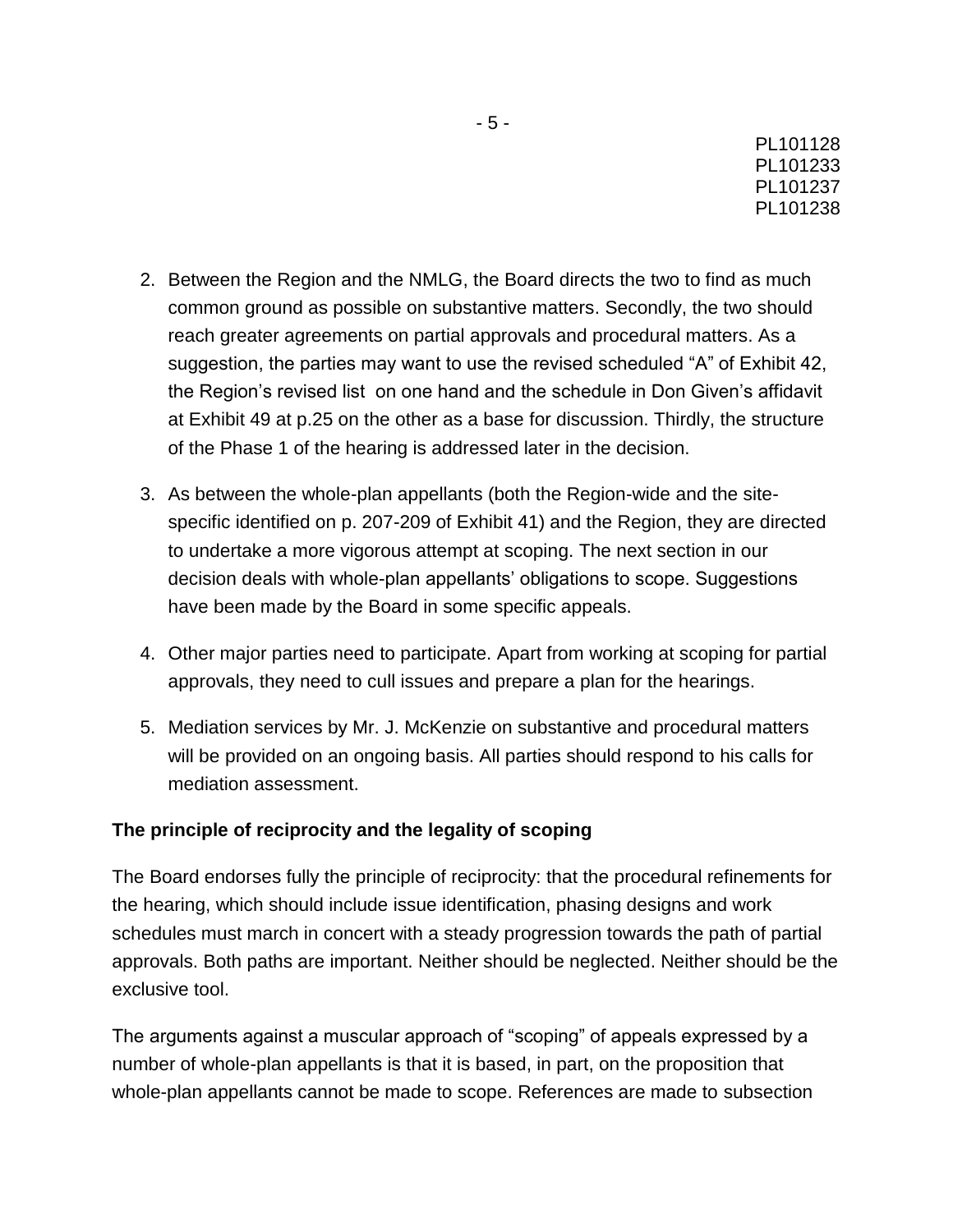- 2. Between the Region and the NMLG, the Board directs the two to find as much common ground as possible on substantive matters. Secondly, the two should reach greater agreements on partial approvals and procedural matters. As a suggestion, the parties may want to use the revised scheduled "A" of Exhibit 42, the Region"s revised list on one hand and the schedule in Don Given"s affidavit at Exhibit 49 at p.25 on the other as a base for discussion. Thirdly, the structure of the Phase 1 of the hearing is addressed later in the decision.
- 3. As between the whole-plan appellants (both the Region-wide and the sitespecific identified on p. 207-209 of Exhibit 41) and the Region, they are directed to undertake a more vigorous attempt at scoping. The next section in our decision deals with whole-plan appellants" obligations to scope. Suggestions have been made by the Board in some specific appeals.
- 4. Other major parties need to participate. Apart from working at scoping for partial approvals, they need to cull issues and prepare a plan for the hearings.
- 5. Mediation services by Mr. J. McKenzie on substantive and procedural matters will be provided on an ongoing basis. All parties should respond to his calls for mediation assessment.

### **The principle of reciprocity and the legality of scoping**

The Board endorses fully the principle of reciprocity: that the procedural refinements for the hearing, which should include issue identification, phasing designs and work schedules must march in concert with a steady progression towards the path of partial approvals. Both paths are important. Neither should be neglected. Neither should be the exclusive tool.

The arguments against a muscular approach of "scoping" of appeals expressed by a number of whole-plan appellants is that it is based, in part, on the proposition that whole-plan appellants cannot be made to scope. References are made to subsection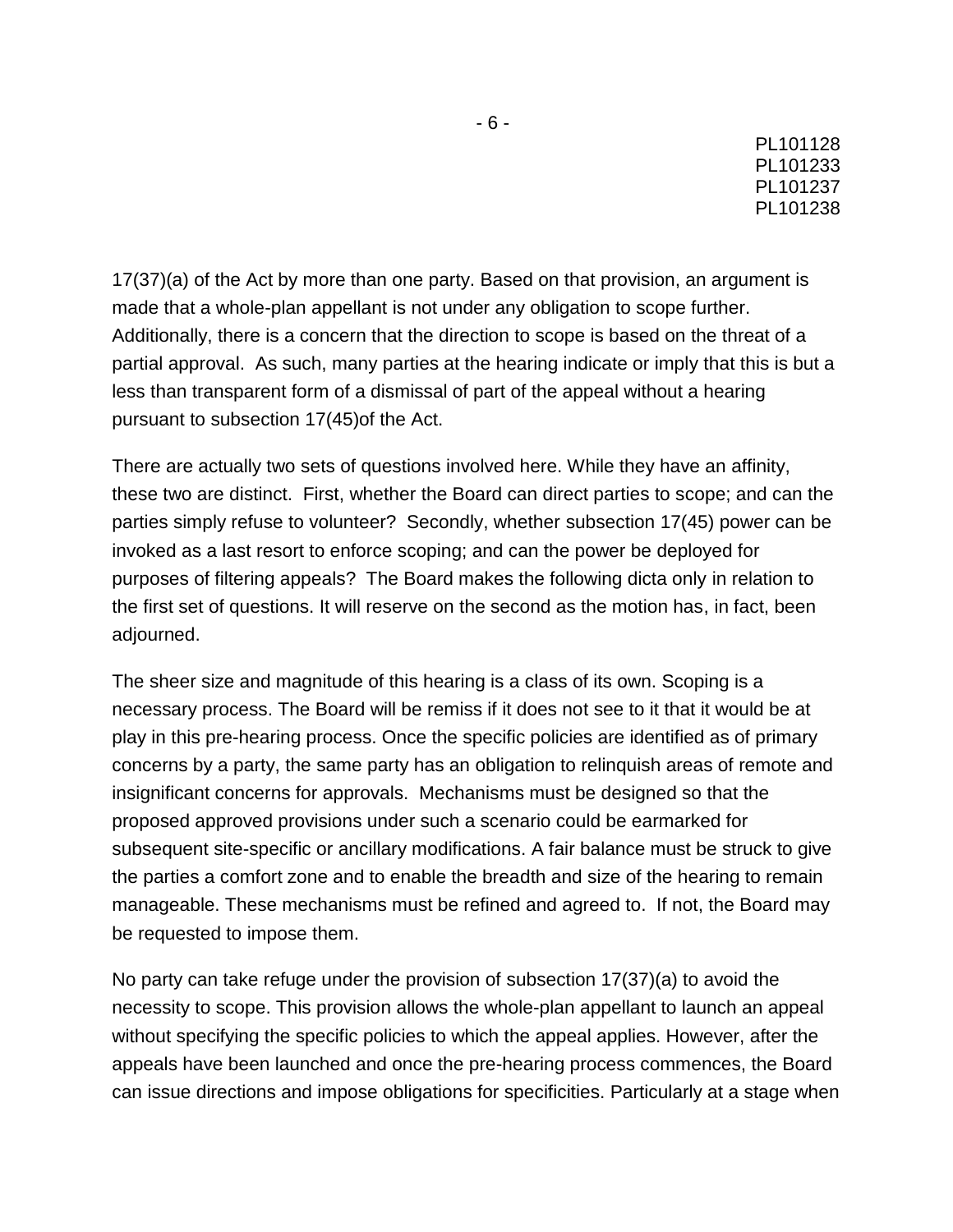17(37)(a) of the Act by more than one party. Based on that provision, an argument is made that a whole-plan appellant is not under any obligation to scope further. Additionally, there is a concern that the direction to scope is based on the threat of a partial approval. As such, many parties at the hearing indicate or imply that this is but a less than transparent form of a dismissal of part of the appeal without a hearing pursuant to subsection 17(45)of the Act.

There are actually two sets of questions involved here. While they have an affinity, these two are distinct. First, whether the Board can direct parties to scope; and can the parties simply refuse to volunteer? Secondly, whether subsection 17(45) power can be invoked as a last resort to enforce scoping; and can the power be deployed for purposes of filtering appeals? The Board makes the following dicta only in relation to the first set of questions. It will reserve on the second as the motion has, in fact, been adjourned.

The sheer size and magnitude of this hearing is a class of its own. Scoping is a necessary process. The Board will be remiss if it does not see to it that it would be at play in this pre-hearing process. Once the specific policies are identified as of primary concerns by a party, the same party has an obligation to relinquish areas of remote and insignificant concerns for approvals. Mechanisms must be designed so that the proposed approved provisions under such a scenario could be earmarked for subsequent site-specific or ancillary modifications. A fair balance must be struck to give the parties a comfort zone and to enable the breadth and size of the hearing to remain manageable. These mechanisms must be refined and agreed to. If not, the Board may be requested to impose them.

No party can take refuge under the provision of subsection 17(37)(a) to avoid the necessity to scope. This provision allows the whole-plan appellant to launch an appeal without specifying the specific policies to which the appeal applies. However, after the appeals have been launched and once the pre-hearing process commences, the Board can issue directions and impose obligations for specificities. Particularly at a stage when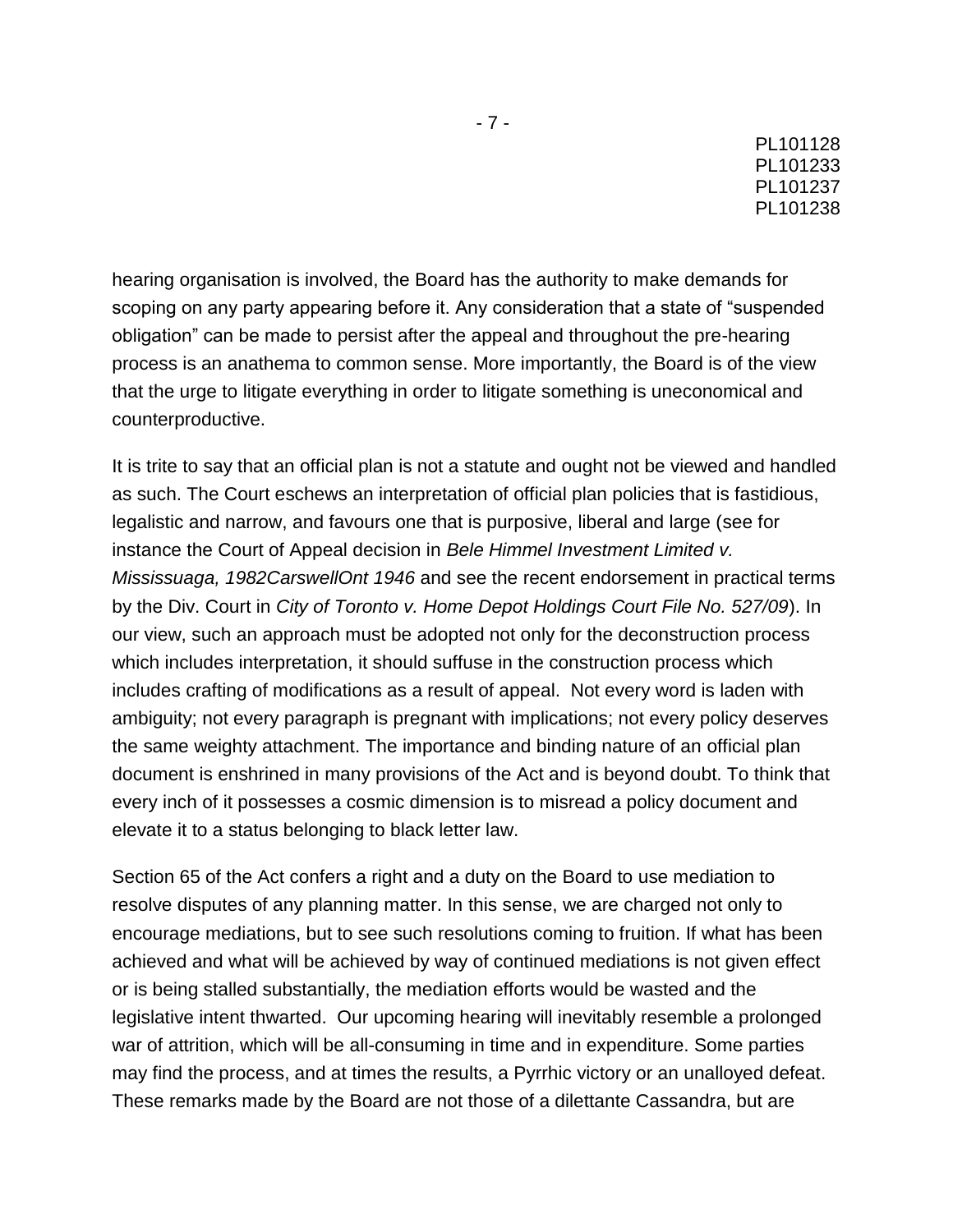hearing organisation is involved, the Board has the authority to make demands for scoping on any party appearing before it. Any consideration that a state of "suspended obligation" can be made to persist after the appeal and throughout the pre-hearing process is an anathema to common sense. More importantly, the Board is of the view that the urge to litigate everything in order to litigate something is uneconomical and counterproductive.

It is trite to say that an official plan is not a statute and ought not be viewed and handled as such. The Court eschews an interpretation of official plan policies that is fastidious, legalistic and narrow, and favours one that is purposive, liberal and large (see for instance the Court of Appeal decision in *Bele Himmel Investment Limited v. Mississuaga, 1982CarswellOnt 1946* and see the recent endorsement in practical terms by the Div. Court in *City of Toronto v. Home Depot Holdings Court File No. 527/09*). In our view, such an approach must be adopted not only for the deconstruction process which includes interpretation, it should suffuse in the construction process which includes crafting of modifications as a result of appeal. Not every word is laden with ambiguity; not every paragraph is pregnant with implications; not every policy deserves the same weighty attachment. The importance and binding nature of an official plan document is enshrined in many provisions of the Act and is beyond doubt. To think that every inch of it possesses a cosmic dimension is to misread a policy document and elevate it to a status belonging to black letter law.

Section 65 of the Act confers a right and a duty on the Board to use mediation to resolve disputes of any planning matter. In this sense, we are charged not only to encourage mediations, but to see such resolutions coming to fruition. If what has been achieved and what will be achieved by way of continued mediations is not given effect or is being stalled substantially, the mediation efforts would be wasted and the legislative intent thwarted. Our upcoming hearing will inevitably resemble a prolonged war of attrition, which will be all-consuming in time and in expenditure. Some parties may find the process, and at times the results, a Pyrrhic victory or an unalloyed defeat. These remarks made by the Board are not those of a dilettante Cassandra, but are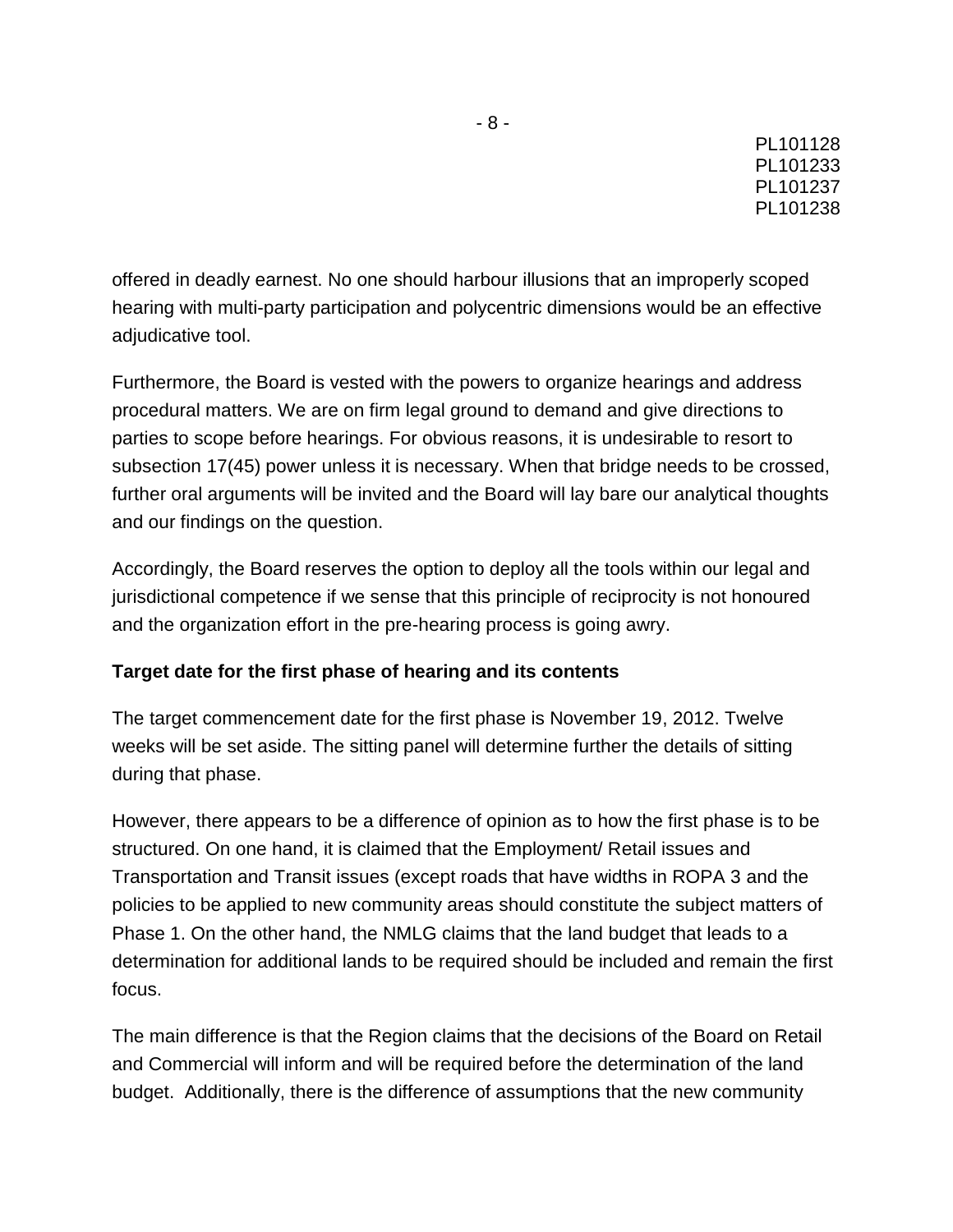offered in deadly earnest. No one should harbour illusions that an improperly scoped hearing with multi-party participation and polycentric dimensions would be an effective adjudicative tool.

Furthermore, the Board is vested with the powers to organize hearings and address procedural matters. We are on firm legal ground to demand and give directions to parties to scope before hearings. For obvious reasons, it is undesirable to resort to subsection 17(45) power unless it is necessary. When that bridge needs to be crossed, further oral arguments will be invited and the Board will lay bare our analytical thoughts and our findings on the question.

Accordingly, the Board reserves the option to deploy all the tools within our legal and jurisdictional competence if we sense that this principle of reciprocity is not honoured and the organization effort in the pre-hearing process is going awry.

# **Target date for the first phase of hearing and its contents**

The target commencement date for the first phase is November 19, 2012. Twelve weeks will be set aside. The sitting panel will determine further the details of sitting during that phase.

However, there appears to be a difference of opinion as to how the first phase is to be structured. On one hand, it is claimed that the Employment/ Retail issues and Transportation and Transit issues (except roads that have widths in ROPA 3 and the policies to be applied to new community areas should constitute the subject matters of Phase 1. On the other hand, the NMLG claims that the land budget that leads to a determination for additional lands to be required should be included and remain the first focus.

The main difference is that the Region claims that the decisions of the Board on Retail and Commercial will inform and will be required before the determination of the land budget. Additionally, there is the difference of assumptions that the new community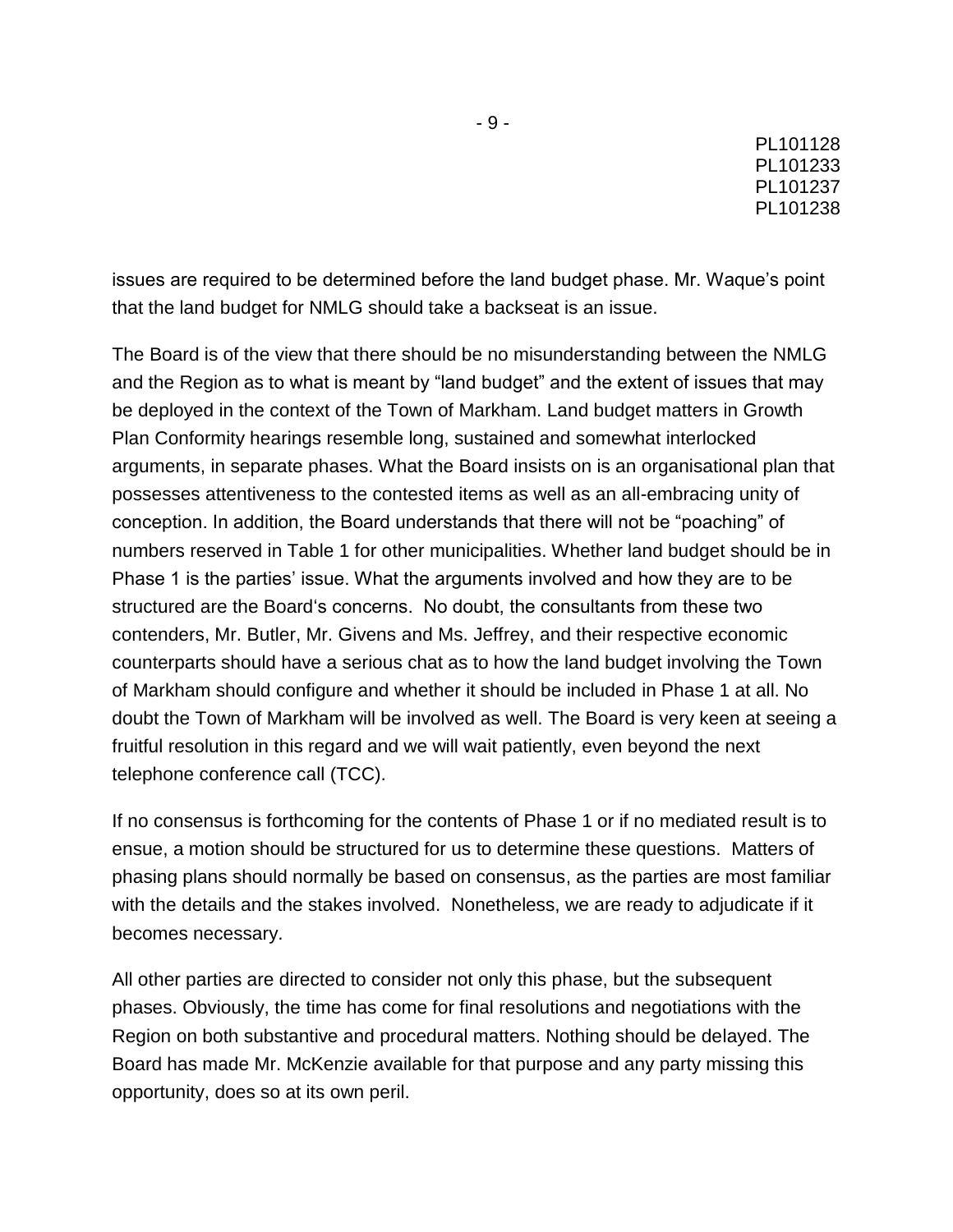issues are required to be determined before the land budget phase. Mr. Waque"s point that the land budget for NMLG should take a backseat is an issue.

The Board is of the view that there should be no misunderstanding between the NMLG and the Region as to what is meant by "land budget" and the extent of issues that may be deployed in the context of the Town of Markham. Land budget matters in Growth Plan Conformity hearings resemble long, sustained and somewhat interlocked arguments, in separate phases. What the Board insists on is an organisational plan that possesses attentiveness to the contested items as well as an all-embracing unity of conception. In addition, the Board understands that there will not be "poaching" of numbers reserved in Table 1 for other municipalities. Whether land budget should be in Phase 1 is the parties" issue. What the arguments involved and how they are to be structured are the Board"s concerns. No doubt, the consultants from these two contenders, Mr. Butler, Mr. Givens and Ms. Jeffrey, and their respective economic counterparts should have a serious chat as to how the land budget involving the Town of Markham should configure and whether it should be included in Phase 1 at all. No doubt the Town of Markham will be involved as well. The Board is very keen at seeing a fruitful resolution in this regard and we will wait patiently, even beyond the next telephone conference call (TCC).

If no consensus is forthcoming for the contents of Phase 1 or if no mediated result is to ensue, a motion should be structured for us to determine these questions. Matters of phasing plans should normally be based on consensus, as the parties are most familiar with the details and the stakes involved. Nonetheless, we are ready to adjudicate if it becomes necessary.

All other parties are directed to consider not only this phase, but the subsequent phases. Obviously, the time has come for final resolutions and negotiations with the Region on both substantive and procedural matters. Nothing should be delayed. The Board has made Mr. McKenzie available for that purpose and any party missing this opportunity, does so at its own peril.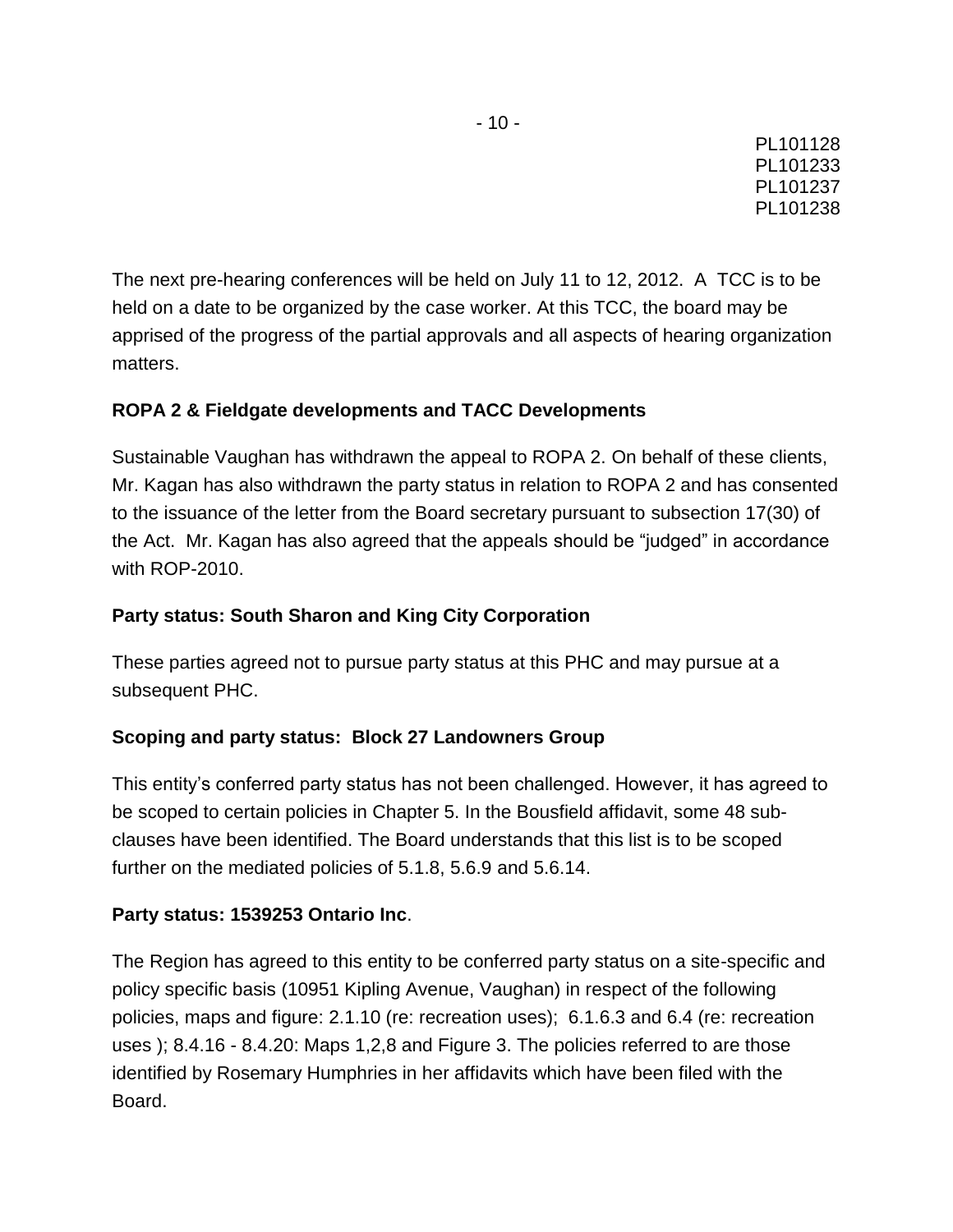The next pre-hearing conferences will be held on July 11 to 12, 2012. A TCC is to be held on a date to be organized by the case worker. At this TCC, the board may be apprised of the progress of the partial approvals and all aspects of hearing organization matters.

## **ROPA 2 & Fieldgate developments and TACC Developments**

Sustainable Vaughan has withdrawn the appeal to ROPA 2. On behalf of these clients, Mr. Kagan has also withdrawn the party status in relation to ROPA 2 and has consented to the issuance of the letter from the Board secretary pursuant to subsection 17(30) of the Act. Mr. Kagan has also agreed that the appeals should be "judged" in accordance with ROP-2010.

## **Party status: South Sharon and King City Corporation**

These parties agreed not to pursue party status at this PHC and may pursue at a subsequent PHC.

### **Scoping and party status: Block 27 Landowners Group**

This entity"s conferred party status has not been challenged. However, it has agreed to be scoped to certain policies in Chapter 5. In the Bousfield affidavit, some 48 subclauses have been identified. The Board understands that this list is to be scoped further on the mediated policies of 5.1.8, 5.6.9 and 5.6.14.

# **Party status: 1539253 Ontario Inc**.

The Region has agreed to this entity to be conferred party status on a site-specific and policy specific basis (10951 Kipling Avenue, Vaughan) in respect of the following policies, maps and figure: 2.1.10 (re: recreation uses); 6.1.6.3 and 6.4 (re: recreation uses ); 8.4.16 - 8.4.20: Maps 1,2,8 and Figure 3. The policies referred to are those identified by Rosemary Humphries in her affidavits which have been filed with the Board.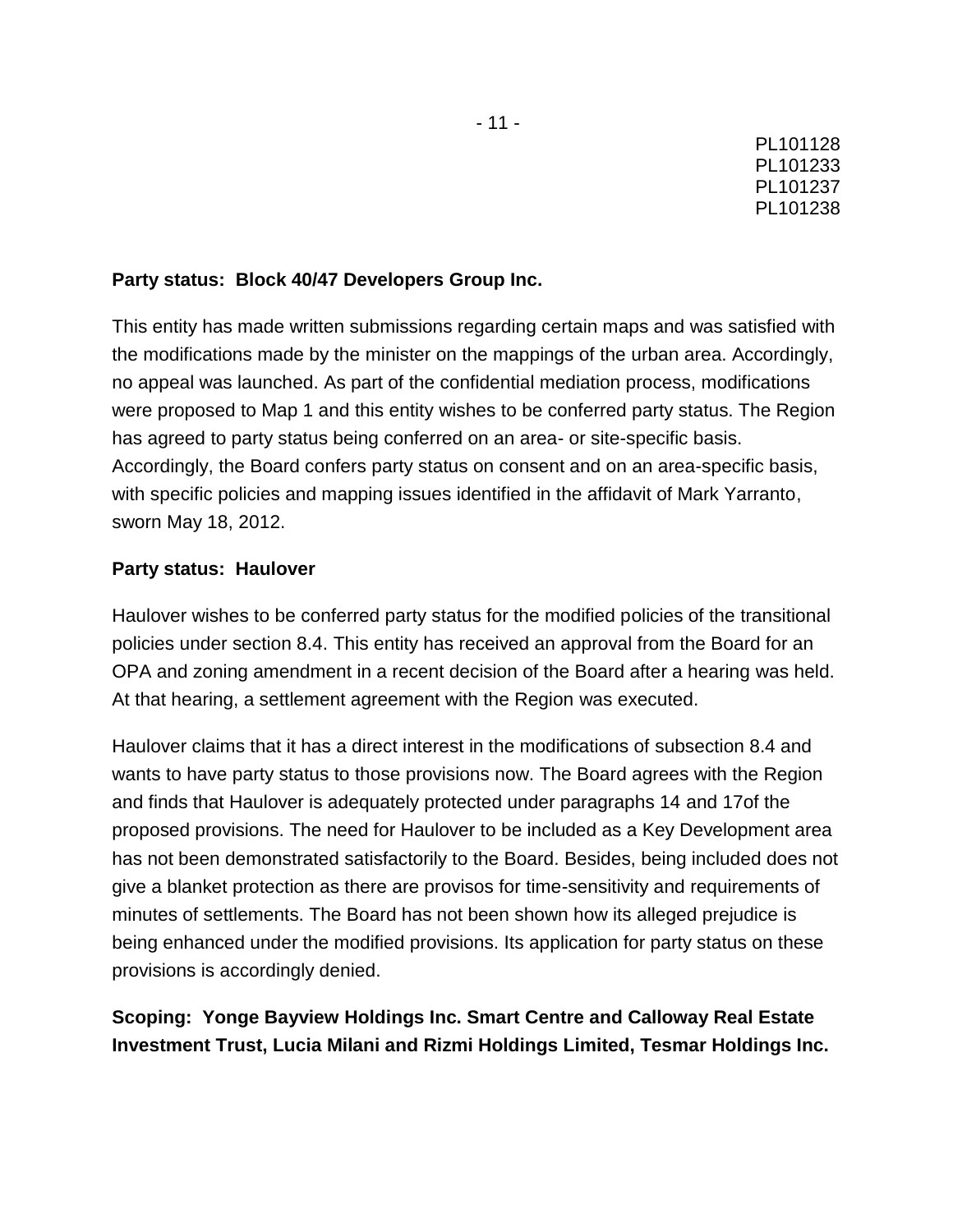### **Party status: Block 40/47 Developers Group Inc.**

This entity has made written submissions regarding certain maps and was satisfied with the modifications made by the minister on the mappings of the urban area. Accordingly, no appeal was launched. As part of the confidential mediation process, modifications were proposed to Map 1 and this entity wishes to be conferred party status. The Region has agreed to party status being conferred on an area- or site-specific basis. Accordingly, the Board confers party status on consent and on an area-specific basis, with specific policies and mapping issues identified in the affidavit of Mark Yarranto, sworn May 18, 2012.

### **Party status: Haulover**

Haulover wishes to be conferred party status for the modified policies of the transitional policies under section 8.4. This entity has received an approval from the Board for an OPA and zoning amendment in a recent decision of the Board after a hearing was held. At that hearing, a settlement agreement with the Region was executed.

Haulover claims that it has a direct interest in the modifications of subsection 8.4 and wants to have party status to those provisions now. The Board agrees with the Region and finds that Haulover is adequately protected under paragraphs 14 and 17of the proposed provisions. The need for Haulover to be included as a Key Development area has not been demonstrated satisfactorily to the Board. Besides, being included does not give a blanket protection as there are provisos for time-sensitivity and requirements of minutes of settlements. The Board has not been shown how its alleged prejudice is being enhanced under the modified provisions. Its application for party status on these provisions is accordingly denied.

# **Scoping: Yonge Bayview Holdings Inc. Smart Centre and Calloway Real Estate Investment Trust, Lucia Milani and Rizmi Holdings Limited, Tesmar Holdings Inc.**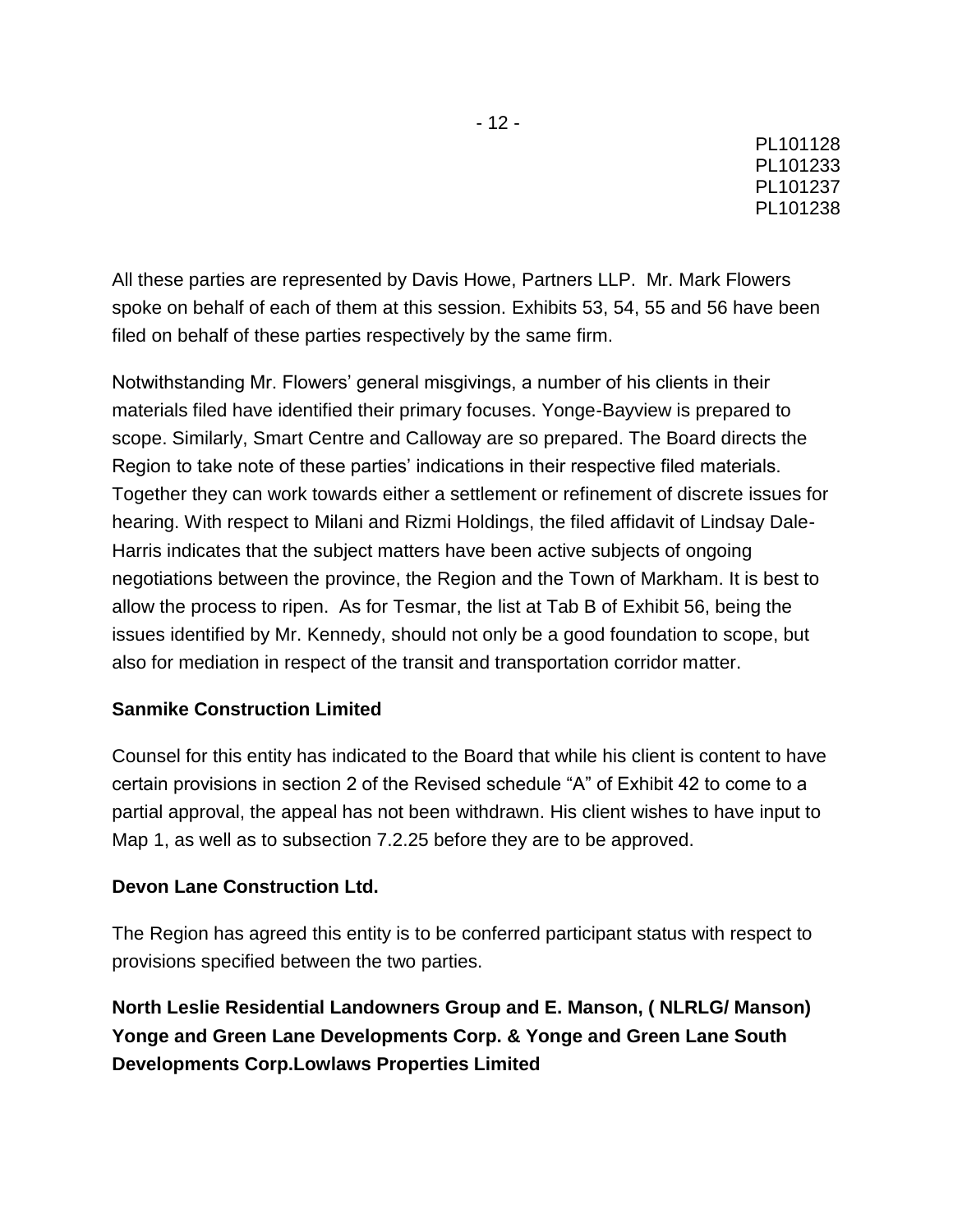All these parties are represented by Davis Howe, Partners LLP. Mr. Mark Flowers spoke on behalf of each of them at this session. Exhibits 53, 54, 55 and 56 have been filed on behalf of these parties respectively by the same firm.

Notwithstanding Mr. Flowers" general misgivings, a number of his clients in their materials filed have identified their primary focuses. Yonge-Bayview is prepared to scope. Similarly, Smart Centre and Calloway are so prepared. The Board directs the Region to take note of these parties" indications in their respective filed materials. Together they can work towards either a settlement or refinement of discrete issues for hearing. With respect to Milani and Rizmi Holdings, the filed affidavit of Lindsay Dale-Harris indicates that the subject matters have been active subjects of ongoing negotiations between the province, the Region and the Town of Markham. It is best to allow the process to ripen. As for Tesmar, the list at Tab B of Exhibit 56, being the issues identified by Mr. Kennedy, should not only be a good foundation to scope, but also for mediation in respect of the transit and transportation corridor matter.

### **Sanmike Construction Limited**

Counsel for this entity has indicated to the Board that while his client is content to have certain provisions in section 2 of the Revised schedule "A" of Exhibit 42 to come to a partial approval, the appeal has not been withdrawn. His client wishes to have input to Map 1, as well as to subsection 7.2.25 before they are to be approved.

### **Devon Lane Construction Ltd.**

The Region has agreed this entity is to be conferred participant status with respect to provisions specified between the two parties.

**North Leslie Residential Landowners Group and E. Manson, ( NLRLG/ Manson) Yonge and Green Lane Developments Corp. & Yonge and Green Lane South Developments Corp.Lowlaws Properties Limited**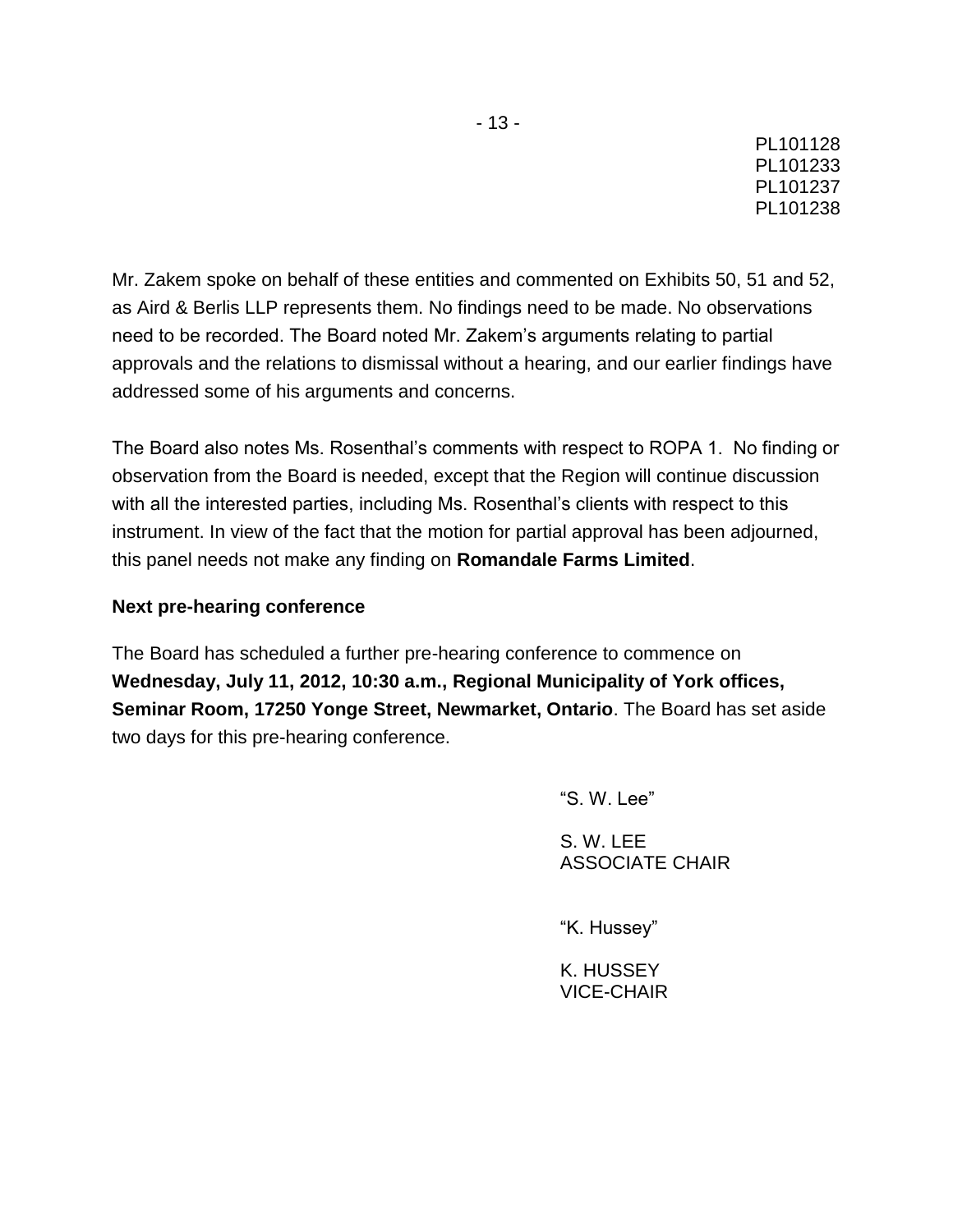Mr. Zakem spoke on behalf of these entities and commented on Exhibits 50, 51 and 52, as Aird & Berlis LLP represents them. No findings need to be made. No observations need to be recorded. The Board noted Mr. Zakem"s arguments relating to partial approvals and the relations to dismissal without a hearing, and our earlier findings have addressed some of his arguments and concerns.

The Board also notes Ms. Rosenthal"s comments with respect to ROPA 1. No finding or observation from the Board is needed, except that the Region will continue discussion with all the interested parties, including Ms. Rosenthal's clients with respect to this instrument. In view of the fact that the motion for partial approval has been adjourned, this panel needs not make any finding on **Romandale Farms Limited**.

## **Next pre-hearing conference**

The Board has scheduled a further pre-hearing conference to commence on **Wednesday, July 11, 2012, 10:30 a.m., Regional Municipality of York offices, Seminar Room, 17250 Yonge Street, Newmarket, Ontario**. The Board has set aside two days for this pre-hearing conference.

"S. W. Lee"

S. W. LEE ASSOCIATE CHAIR

"K. Hussey"

K. HUSSEY VICE-CHAIR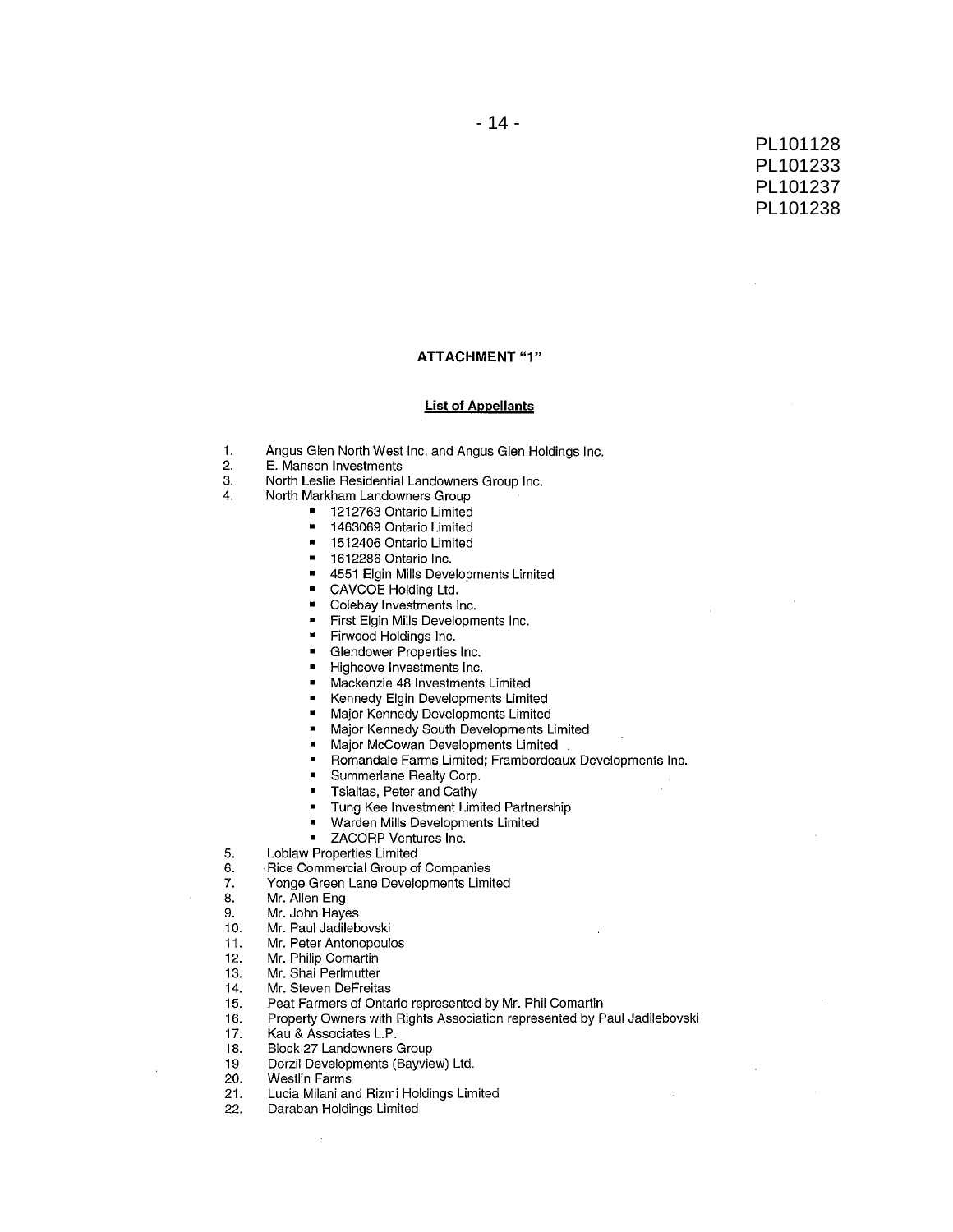#### **ATTACHMENT "1"**

#### **List of Appellants**

- Angus Glen North West Inc. and Angus Glen Holdings Inc. 1.
- $2.$ E. Manson Investments
- North Leslie Residential Landowners Group Inc. 3.
- $4.$ North Markham Landowners Group
	- 1212763 Ontario Limited
	- $\blacksquare$ 1463069 Ontario Limited
	- $\blacksquare$ 1512406 Ontario Limited
	- 1612286 Ontario Inc.  $\blacksquare$
	- 4551 Elgin Mills Developments Limited  $\blacksquare$
	- CAVCOE Holding Ltd.
	- Colebay Investments Inc.  $\blacksquare$
	- First Elgin Mills Developments Inc.  $\blacksquare$
	- Firwood Holdings Inc.
	- Glendower Properties Inc.
	- Highcove Investments Inc.
	- $\blacksquare$ Mackenzie 48 Investments Limited
	- Kennedy Elgin Developments Limited  $\blacksquare$
	- Major Kennedy Developments Limited
	- Major Kennedy South Developments Limited
	- Major McCowan Developments Limited
	- Romandale Farms Limited; Frambordeaux Developments Inc.  $\blacksquare$
	- Summerlane Realty Corp.  $\blacksquare$
	- Tsialtas, Peter and Cathy  $\blacksquare$
	- Tung Kee Investment Limited Partnership  $\blacksquare$
	- $\blacksquare$ Warden Mills Developments Limited
	- $\blacksquare$ ZACORP Ventures Inc.
	- Loblaw Properties Limited
- Rice Commercial Group of Companies 6.
- Yonge Green Lane Developments Limited 7.
- Mr. Allen Eng 8.

5.

- Mr. John Hayes 9.
- Mr. Paul Jadilebovski  $10.$
- Mr. Peter Antonopoulos 11.
- Mr. Philip Comartin  $12.$
- Mr. Shai Perlmutter 13.
- Mr. Steven DeFreitas  $14.$
- 15. Peat Farmers of Ontario represented by Mr. Phil Comartin
- Property Owners with Rights Association represented by Paul Jadilebovski 16.
- Kau & Associates L.P.  $17.$
- $18.$ Block 27 Landowners Group
- Dorzil Developments (Bayview) Ltd. 19
- 20. **Westlin Farms**
- 21. Lucia Milani and Rizmi Holdings Limited
- $22.$ Daraban Holdings Limited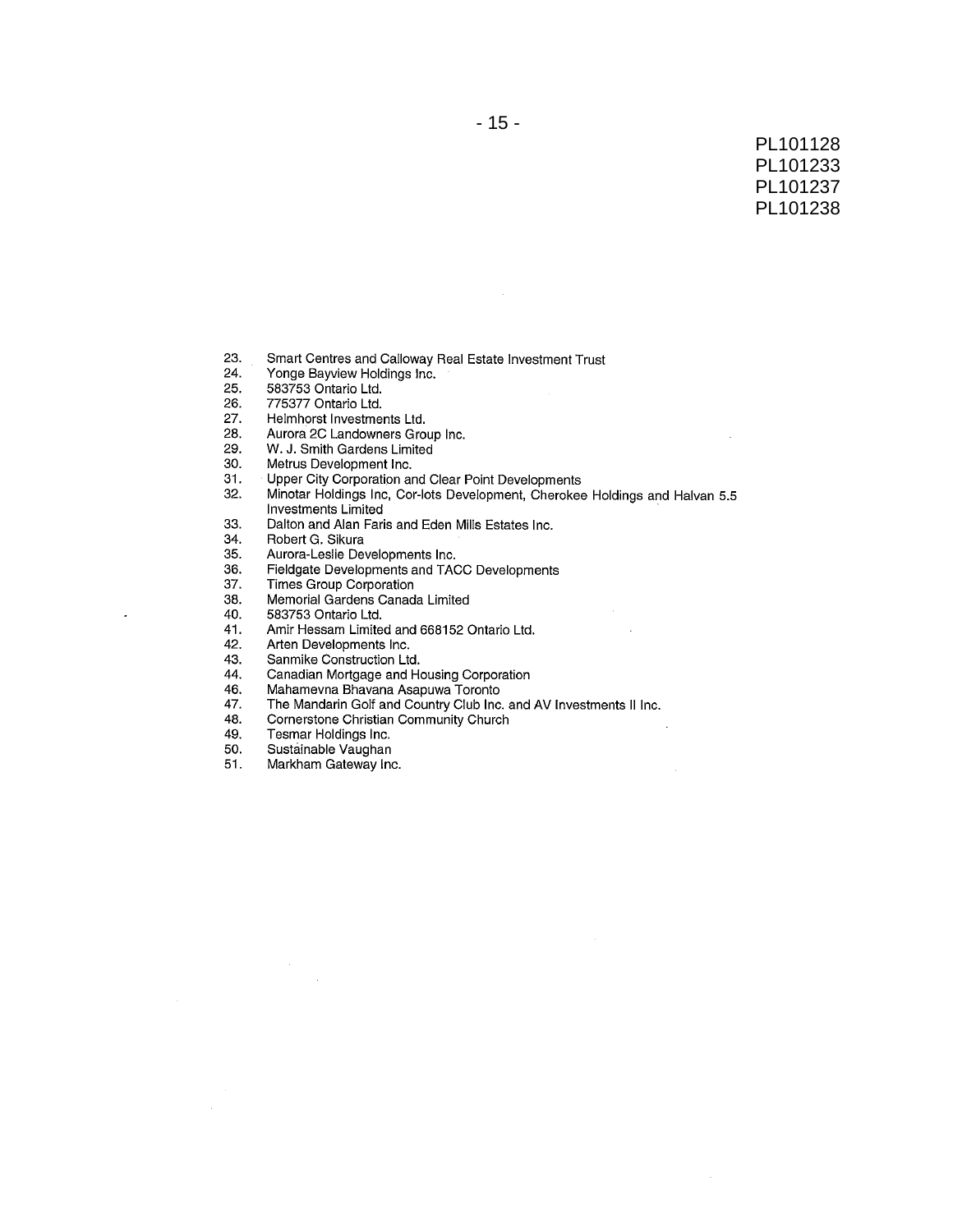- 23. Smart Centres and Calloway Real Estate Investment Trust
- Yonge Bayview Holdings Inc. 24.
- $25.$ 583753 Ontario Ltd.
- 26. 775377 Ontario Ltd.
- 27. Helmhorst Investments Ltd.
- 28. Aurora 2C Landowners Group Inc.
- 29. W. J. Smith Gardens Limited
- $30.$ Metrus Development Inc.
- $31.$ Upper City Corporation and Clear Point Developments
- Minotar Holdings Inc, Cor-lots Development, Cherokee Holdings and Halvan 5.5  $32.$ Investments Limited
- 33. Dalton and Alan Faris and Eden Mills Estates Inc.
- 34. Robert G. Sikura
- 35. Aurora-Leslie Developments Inc.
- Fieldgate Developments and TACC Developments 36.
- 37. Times Group Corporation
- Memorial Gardens Canada Limited 38.
- 40. 583753 Ontario Ltd.

 $\overline{a}$ 

- 41. Amir Hessam Limited and 668152 Ontario Ltd.
- 42. Arten Developments Inc.
- 43. Sanmike Construction Ltd.
- Canadian Mortgage and Housing Corporation<br>Mahamevna Bhavana Asapuwa Toronto 44.
- 46.
- 47. The Mandarin Golf and Country Club Inc. and AV Investments II Inc.
- Cornerstone Christian Community Church 48.
- 49. Tesmar Holdings Inc.
- 50. Sustainable Vaughan

 $\mathcal{A}^{\mathcal{A}}$ 

 $51.$ Markham Gateway Inc.  $\mathcal{A}$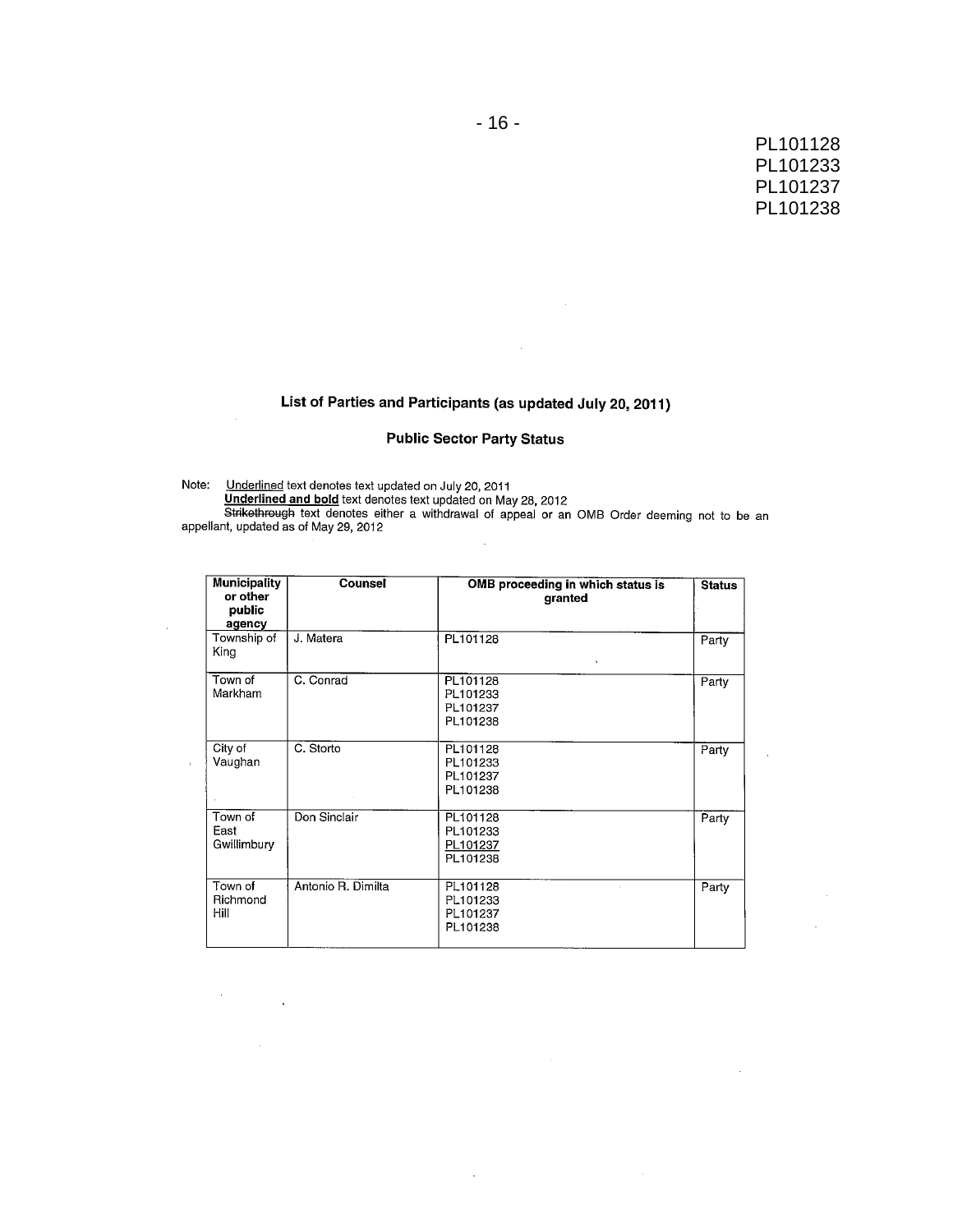# List of Parties and Participants (as updated July 20, 2011)

 $\mathcal{L}$ 

### **Public Sector Party Status**

 $\bar{z}$ 

Note: Underlined text denotes text updated on July 20, 2011<br>Underlined and bold text denotes text updated on May 28, 2012<br>Strikethrough text denotes either a withdrawal of appeal or an OMB Order deeming not to be an<br>appell J.

| <b>Municipality</b><br>or other<br>public<br>agency | Counsel            | OMB proceeding in which status is<br>granted | <b>Status</b> |
|-----------------------------------------------------|--------------------|----------------------------------------------|---------------|
| Township of<br>King                                 | J. Matera          | PL101128<br>$\mathbf{v}$                     | Party         |
| Town of<br>Markham                                  | C. Conrad          | PL101128<br>PL101233<br>PL101237<br>PL101238 | Party         |
| City of<br>Vaughan                                  | C. Storto          | PL101128<br>PL101233<br>PL101237<br>PL101238 | Party         |
| Town of<br>East<br>Gwillimbury                      | Don Sinclair       | PL101128<br>PL101233<br>PL101237<br>PL101238 | Party         |
| Town of<br>Richmond<br>Hill                         | Antonio R. Dimilta | PL101128<br>PL101233<br>PL101237<br>PL101238 | Party         |

 $\bar{z}$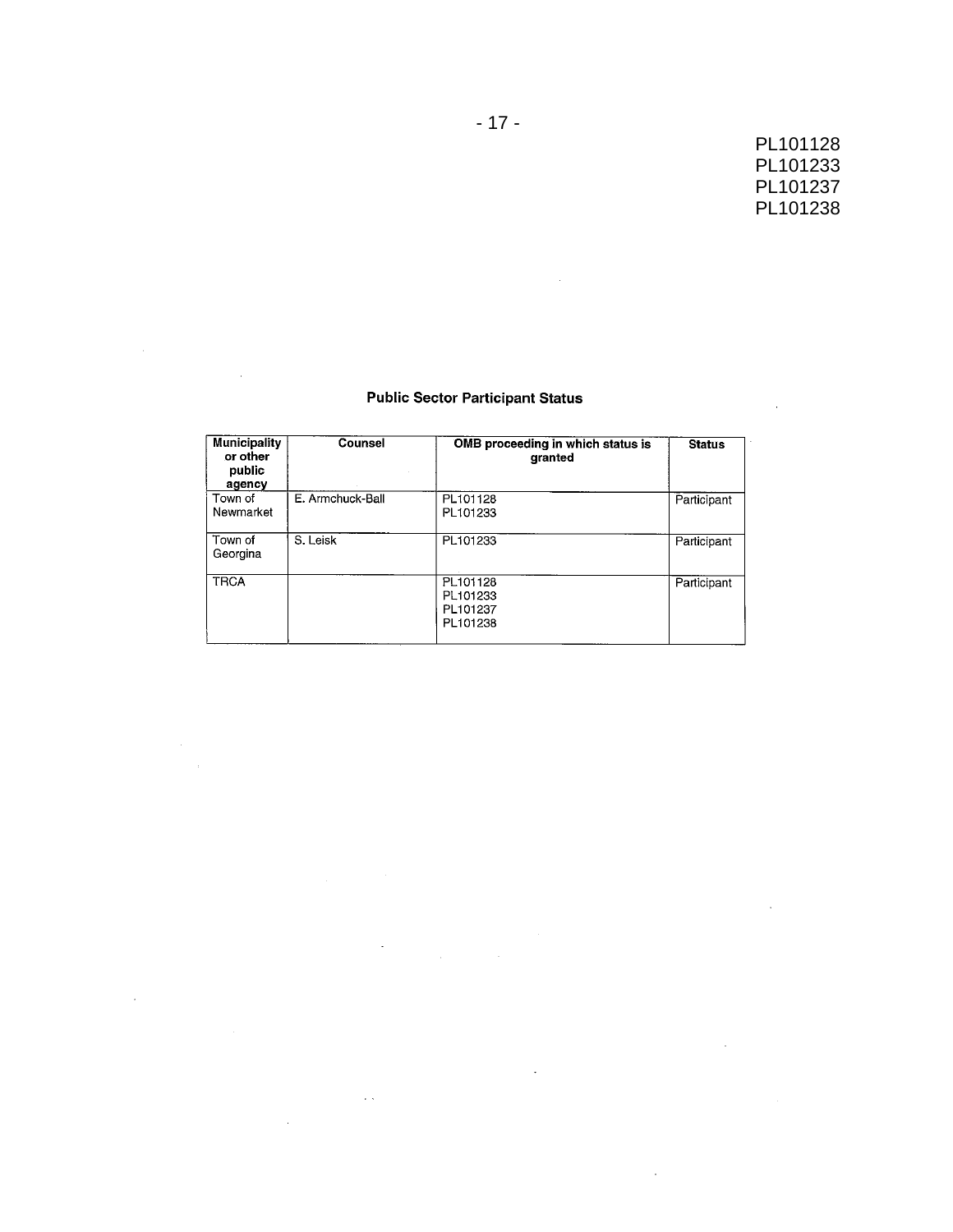$\sim 10^{11}$  km  $^{-1}$ 

 $\mathbf{r}$ 

 $\sim 10$ 

 $\sim$ 

### **Public Sector Participant Status**

 $\sim$ 

 $\bar{\mathcal{L}}$ 

| <b>Municipality</b><br>or other<br>public<br>agency | Counsel          | OMB proceeding in which status is<br>granted | <b>Status</b> |
|-----------------------------------------------------|------------------|----------------------------------------------|---------------|
| Town of<br>Newmarket                                | E. Armchuck-Ball | PL101128<br>PL101233                         | Participant   |
| Town of<br>Georgina                                 | S. Leisk         | PL101233                                     | Participant   |
| <b>TRCA</b>                                         |                  | PL101128<br>PL101233<br>PL101237<br>PL101238 | Participant   |

 $\sim 10$ 

 $\sim$   $\sim$ 

 $\bar{\gamma}$ 

 $\sim 100$  km s  $^{-1}$ 

 $\sim 10^{-10}$ 

 $\sim$   $\sim$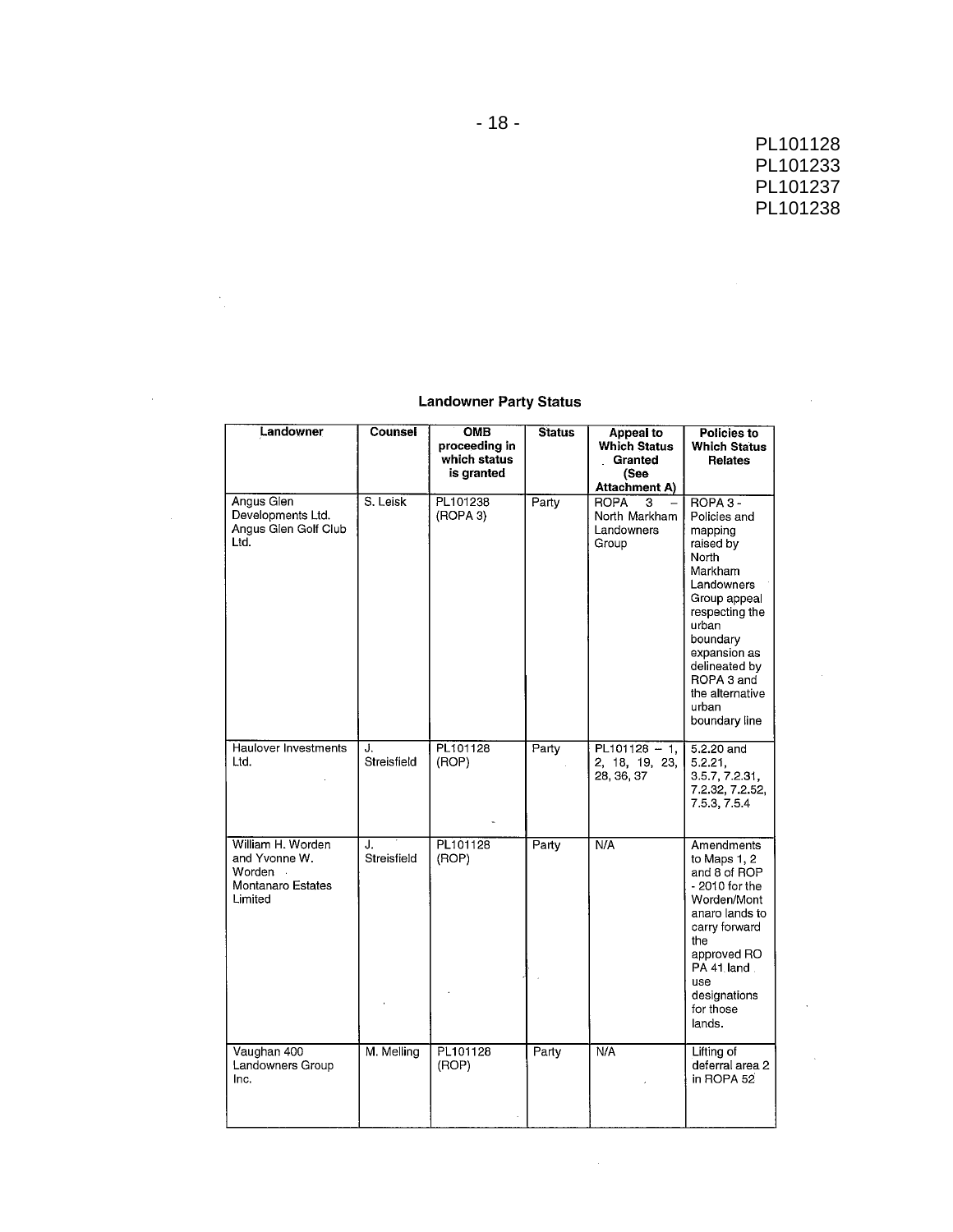$\sim 10$ 

 $\sim$   $\mu$ 

 $\sim 10^{-11}$ 

 $\sim$   $\sim$ 

### **Landowner Party Status**

 $\frac{1}{\sqrt{2}}$ 

 $\sim 10^6$ 

| Landowner                                                                              | Counsel           | OMB<br>proceeding in<br>which status<br>is granted | <b>Status</b> | Appeal to<br><b>Which Status</b><br>Granted<br>(See<br>Attachment A) | Policies to<br><b>Which Status</b><br><b>Relates</b>                                                                                                                                                                                  |
|----------------------------------------------------------------------------------------|-------------------|----------------------------------------------------|---------------|----------------------------------------------------------------------|---------------------------------------------------------------------------------------------------------------------------------------------------------------------------------------------------------------------------------------|
| Angus Glen<br>Developments Ltd.<br>Angus Glen Golf Club<br>Ltd.                        | S. Leisk          | PL101238<br>(ROPA 3)                               | Party         | <b>ROPA</b><br>3<br>North Markham<br>Landowners<br>Group             | ROPA 3 -<br>Policies and<br>mapping<br>raised by<br>North<br>Markham<br>Landowners<br>Group appeal<br>respecting the<br>urban<br>boundary<br>expansion as<br>delineated by<br>ROPA 3 and<br>the alternative<br>urban<br>boundary line |
| Haulover Investments<br>Ltd.                                                           | J.<br>Streisfield | PL101128<br>(ROP)                                  | Party         | $PL101128 - 1$<br>2, 18, 19, 23,<br>28, 36, 37                       | 5.2.20 and<br>5.2.21,<br>3.5.7, 7.2.31,<br>7.2.32, 7.2.52,<br>7.5.3, 7.5.4                                                                                                                                                            |
| William H. Worden<br>and Yvonne W.<br>Worden<br>$\sim$<br>Montanaro Estates<br>Limited | J.<br>Streisfield | PL101128<br>(ROP)                                  | Party         | N/A                                                                  | Amendments<br>to Maps 1, 2<br>and 8 of ROP<br>- 2010 for the<br>Worden/Mont<br>anaro lands to<br>carry forward<br>the<br>approved RO<br>PA 41 land<br>use<br>designations<br>for those<br>lands.                                      |
| Vaughan 400<br>Landowners Group<br>Inc.                                                | M. Melling        | PL101128<br>(ROP)                                  | Party         | N/A                                                                  | Lifting of<br>deferral area 2<br>in ROPA 52                                                                                                                                                                                           |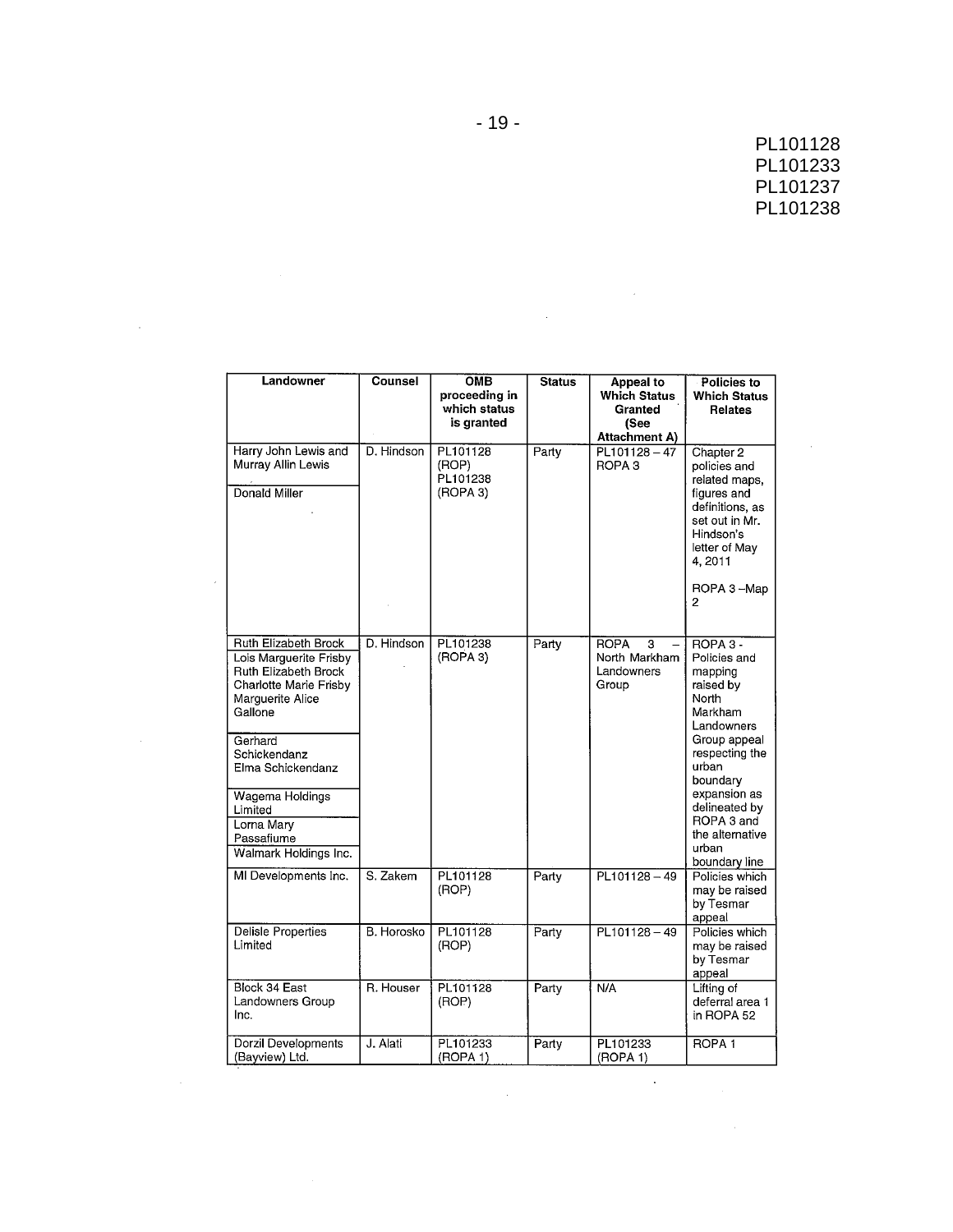| Landowner                                                                                                                                  | Counsel    | <b>OMB</b><br>proceeding in<br>which status<br>is granted | <b>Status</b> | Appeal to<br><b>Which Status</b><br>Granted<br>(See<br>Attachment A) | Policies to<br><b>Which Status</b><br>Relates                                                                                                                          |
|--------------------------------------------------------------------------------------------------------------------------------------------|------------|-----------------------------------------------------------|---------------|----------------------------------------------------------------------|------------------------------------------------------------------------------------------------------------------------------------------------------------------------|
| Harry John Lewis and<br>Murray Allin Lewis<br>Donald Miller                                                                                | D. Hindson | PL101128<br>(ROP)<br>PL101238<br>(ROPA 3)                 | Party         | $PL101128 - 47$<br>ROPA <sub>3</sub>                                 | Chapter 2<br>policies and<br>related maps.<br>figures and<br>definitions, as<br>set out in Mr.<br>Hindson's<br>letter of May<br>4,2011<br>ROPA 3-Map<br>$\overline{2}$ |
| Ruth Elizabeth Brock<br>Lois Marguerite Frisby<br>Ruth Elizabeth Brock<br>Charlotte Marie Frisby<br>Marguerite Alice<br>Gallone<br>Gerhard | D. Hindson | PL101238<br>(ROPA 3)                                      | Party         | <b>ROPA</b><br>3<br>North Markham<br>Landowners<br>Group             | ROPA 3 -<br>Policies and<br>mapping<br>raised by<br>North<br>Markham<br>Landowners<br>Group appeal                                                                     |
| Schickendanz<br>Elma Schickendanz<br>Wagema Holdings                                                                                       |            |                                                           |               |                                                                      | respecting the<br>urban<br>boundary<br>expansion as<br>delineated by                                                                                                   |
| Limited<br>Lorna Mary<br>Passafiume<br>Walmark Holdings Inc.                                                                               |            |                                                           |               |                                                                      | ROPA 3 and<br>the alternative<br>urban<br>boundary line                                                                                                                |
| MI Developments Inc.                                                                                                                       | S. Zakem   | PL101128<br>(ROP)                                         | Party         | PL101128-49                                                          | Policies which<br>may be raised<br>by Tesmar<br>appeal                                                                                                                 |
| Delisle Properties<br>Limited                                                                                                              | B. Horosko | PL101128<br>(ROP)                                         | Party         | $PL101128 - 49$                                                      | Policies which<br>may be raised<br>by Tesmar<br>appeal                                                                                                                 |
| Block 34 East<br>Landowners Group<br>Inc.                                                                                                  | R. Houser  | PL101128<br>(ROP)                                         | Party         | N/A                                                                  | Lifting of<br>deferral area 1<br>in ROPA 52                                                                                                                            |
| Dorzil Developments<br>(Bayview) Ltd.                                                                                                      | J. Alati   | PL101233<br>(ROPA 1)                                      | Party         | PL101233<br>(ROPA 1)                                                 | ROPA <sub>1</sub>                                                                                                                                                      |

 $\label{eq:2.1} \frac{1}{\sqrt{2\pi}}\int_{\mathbb{R}^3}\frac{1}{\sqrt{2\pi}}\int_{\mathbb{R}^3}\frac{1}{\sqrt{2\pi}}\int_{\mathbb{R}^3}\frac{1}{\sqrt{2\pi}}\int_{\mathbb{R}^3}\frac{1}{\sqrt{2\pi}}\int_{\mathbb{R}^3}\frac{1}{\sqrt{2\pi}}\int_{\mathbb{R}^3}\frac{1}{\sqrt{2\pi}}\int_{\mathbb{R}^3}\frac{1}{\sqrt{2\pi}}\int_{\mathbb{R}^3}\frac{1}{\sqrt{2\pi}}\int_{\mathbb{R}^3}\frac{1$ 

 $\label{eq:2.1} \frac{1}{\sqrt{2}}\int_{\mathbb{R}^3}\frac{1}{\sqrt{2}}\left(\frac{1}{\sqrt{2}}\right)^2\frac{1}{\sqrt{2}}\left(\frac{1}{\sqrt{2}}\right)^2\frac{1}{\sqrt{2}}\left(\frac{1}{\sqrt{2}}\right)^2\frac{1}{\sqrt{2}}\left(\frac{1}{\sqrt{2}}\right)^2.$ 

 $\mathcal{L}^{\text{max}}_{\text{max}}$  and  $\mathcal{L}^{\text{max}}_{\text{max}}$ 

 $\label{eq:2.1} \frac{1}{\sqrt{2}}\int_{0}^{\infty}\frac{1}{\sqrt{2\pi}}\left(\frac{1}{\sqrt{2\pi}}\right)^{2}d\mu\left(\frac{1}{\sqrt{2\pi}}\right) = \frac{1}{2\sqrt{2}}\int_{0}^{\infty}\frac{1}{\sqrt{2\pi}}\frac{1}{\sqrt{2\pi}}\frac{1}{\sqrt{2\pi}}\frac{1}{\sqrt{2\pi}}\frac{1}{\sqrt{2\pi}}\frac{1}{\sqrt{2\pi}}\frac{1}{\sqrt{2\pi}}\frac{1}{\sqrt{2\pi}}\frac{1}{\sqrt{2\pi}}\frac{1}{\sqrt{2\pi$ 

 $\label{eq:2.1} \frac{1}{\sqrt{2}}\int_{0}^{\infty}\frac{1}{\sqrt{2\pi}}\left(\frac{1}{\sqrt{2\pi}}\right)^{2}d\mu\left(\frac{1}{\sqrt{2\pi}}\right) \frac{d\mu}{\sqrt{2\pi}}\,.$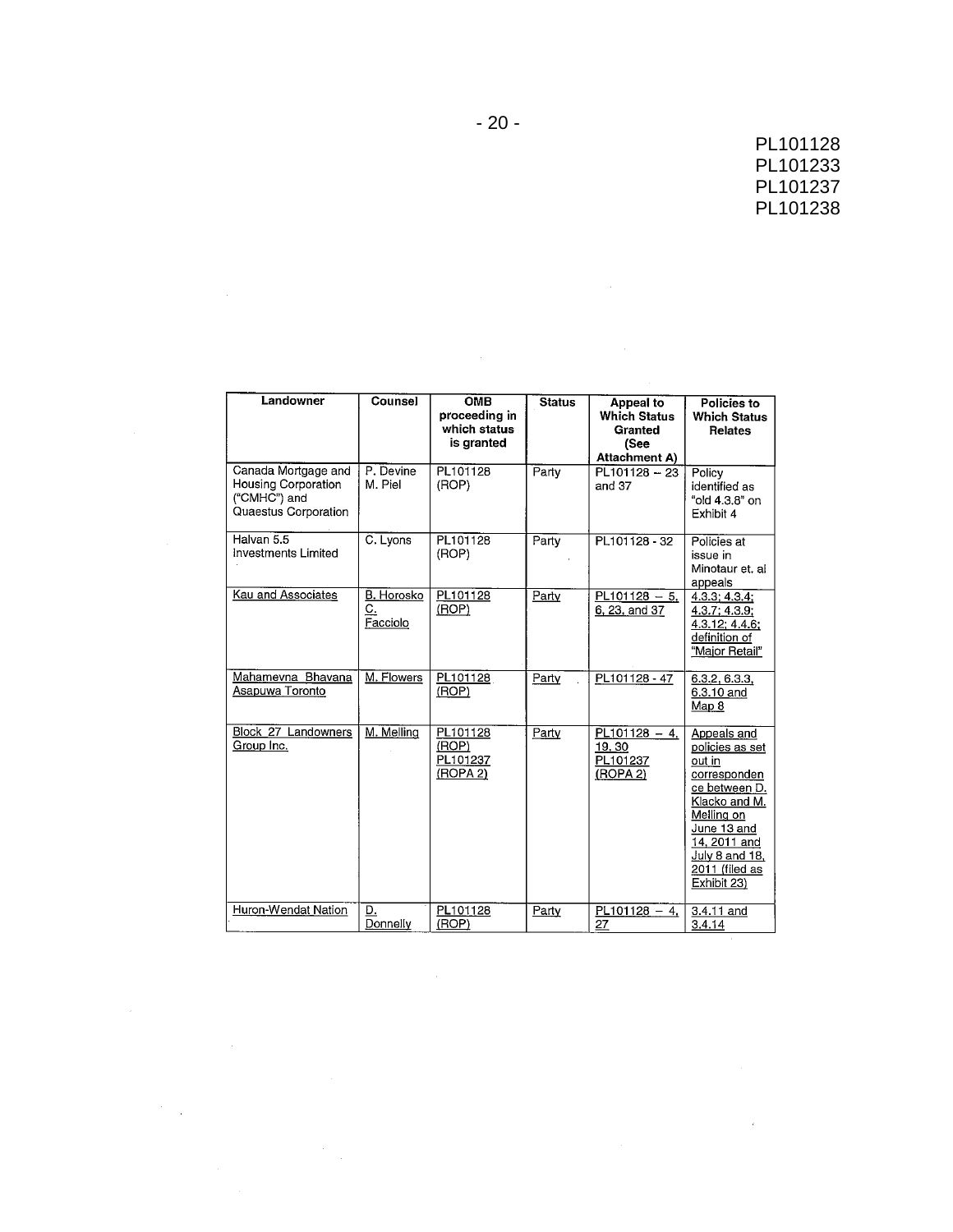$\hat{\mathcal{L}}$ 

| Landowner                                                                          | Counsel                      | <b>OMB</b>                                  | <b>Status</b> | Appeal to                                        | Policies to                                                                                                                                                                                |
|------------------------------------------------------------------------------------|------------------------------|---------------------------------------------|---------------|--------------------------------------------------|--------------------------------------------------------------------------------------------------------------------------------------------------------------------------------------------|
|                                                                                    |                              | proceeding in<br>which status<br>is granted |               | <b>Which Status</b><br>Granted<br>(See           | <b>Which Status</b><br>Relates                                                                                                                                                             |
|                                                                                    |                              |                                             |               | <b>Attachment A)</b>                             |                                                                                                                                                                                            |
| Canada Mortgage and<br>Housing Corporation<br>("CMHC") and<br>Quaestus Corporation | P. Devine<br>M. Piel         | PL101128<br>(ROP)                           | Party         | $PL101128 - 23$<br>and 37                        | Policy<br>identified as<br>"old 4.3.8" on<br>Exhibit 4                                                                                                                                     |
| Halvan 5.5<br>Investments Limited                                                  | C. Lyons                     | PL101128<br>(ROP)                           | Party         | PL101128 - 32                                    | Policies at<br>issue in<br>Minotaur et. al<br>appeals                                                                                                                                      |
| <b>Kau and Associates</b>                                                          | B. Horosko<br>C.<br>Facciolo | PL101128<br>(ROP)                           | Party         | $PL101128 - 5$<br>6, 23, and 37                  | 4.3.3; 4.3.4;<br>4.3.7; 4.3.9;<br>4.3.12; 4.4.6;<br>definition of<br>"Major Retail"                                                                                                        |
| Mahamevna Bhavana<br>Asapuwa Toronto                                               | M. Flowers                   | PL101128<br>(ROP)                           | Party         | PL101128 - 47                                    | 6.3.2, 6.3.3,<br>6.3.10 and<br>Map 8                                                                                                                                                       |
| Block_27 Landowners<br>Group Inc.                                                  | M. Melling                   | PL101128<br>(ROP)<br>PL101237<br>(ROPA 2)   | Party         | $PL101128 - 4$<br>19, 30<br>PL101237<br>(ROPA 2) | Appeals and<br>policies as set<br>out in<br>corresponden<br>ce between D.<br>Klacko and M.<br>Melling on<br>June 13 and<br>14, 2011 and<br>July 8 and 18,<br>2011 (filed as<br>Exhibit 23) |
| Huron-Wendat Nation                                                                | D.<br>Donnelly               | PL101128<br>(ROP)                           | Party         | $PL101128 - 4$<br>27                             | 3.4.11 and<br>3.4.14                                                                                                                                                                       |

 $\mathcal{L}(\mathcal{A})$  and  $\mathcal{L}(\mathcal{A})$ 

 $\mathcal{A}^{\text{out}}_{\text{out}}$ 

 $\frac{1}{2} \frac{1}{2}$ 

 $\mathcal{L}_{\text{max}}$  .

 $\hat{\mathcal{L}}_{\text{max}}$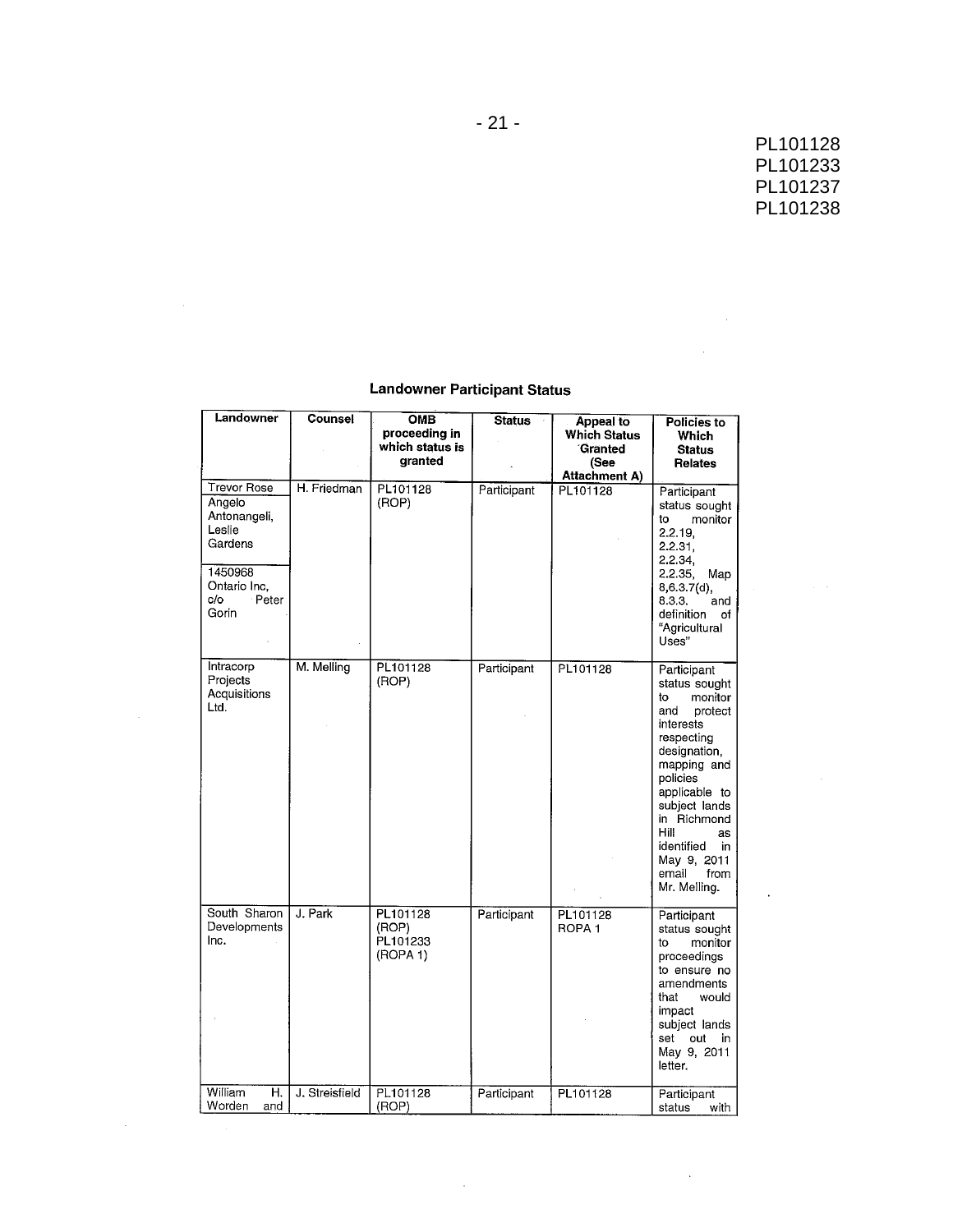$\sim 10^{11}$  km s  $^{-1}$ 

 $\hat{\mathcal{A}}$ 

### **Landowner Participant Status**

| Landowner                                                                                                             | Counsel        | <b>OMB</b><br>proceeding in               | <b>Status</b> | Appeal to<br><b>Which Status</b> | Policies to<br>Which                                                                                                                                                                                                                                                            |  |
|-----------------------------------------------------------------------------------------------------------------------|----------------|-------------------------------------------|---------------|----------------------------------|---------------------------------------------------------------------------------------------------------------------------------------------------------------------------------------------------------------------------------------------------------------------------------|--|
|                                                                                                                       |                | which status is<br>qranted                |               | Granted<br>(See                  | <b>Status</b><br><b>Relates</b>                                                                                                                                                                                                                                                 |  |
|                                                                                                                       |                |                                           |               | <b>Attachment A)</b>             |                                                                                                                                                                                                                                                                                 |  |
| <b>Trevor Rose</b><br>Angelo<br>Antonangeli,<br>Leslie<br>Gardens<br>1450968<br>Ontario Inc.<br>Peter<br>c/o<br>Gorin | H. Friedman    | PL101128<br>(ROP)                         | Participant   | PL101128                         | Participant<br>status sought<br>monitor<br>to<br>2.2.19.<br>2.2.31,<br>2.2.34,<br>2.2.35, Map<br>8,6.3.7(d),<br>8.3.3.<br>and<br>definition of<br>"Agricultural<br>Uses"                                                                                                        |  |
| Intracorp<br>Projects<br>Acquisitions<br>Ltd.                                                                         | M. Melling     | PL101128<br>(ROP)                         | Participant   | PL101128                         | Participant<br>status sought<br>to<br>monitor<br>and<br>protect<br>interests<br>respecting<br>designation,<br>mapping and<br>policies<br>applicable to<br>subject lands<br>in Richmond<br>Hill<br><b>as</b><br>identified<br>in<br>May 9, 2011<br>email<br>from<br>Mr. Melling. |  |
| South Sharon<br>Developments<br>Inc.                                                                                  | J. Park        | PL101128<br>(ROP)<br>PL101233<br>(ROPA 1) | Participant   | PL101128<br>ROPA <sub>1</sub>    | Participant<br>status sought<br>monitor<br>to<br>proceedings<br>to ensure no<br>amendments<br>that<br>would<br>impact<br>subject lands<br>set out in<br>May 9, 2011<br>letter.                                                                                                  |  |
| <b>William</b><br>Н.<br>Worden<br>and                                                                                 | J. Streisfield | PL101128<br>(ROP)                         | Participant   | PL101128                         | Participant<br>status<br>with                                                                                                                                                                                                                                                   |  |

 $\sim 10$ 

 $\sim 10^{-1}$ 

 $\mathcal{L}$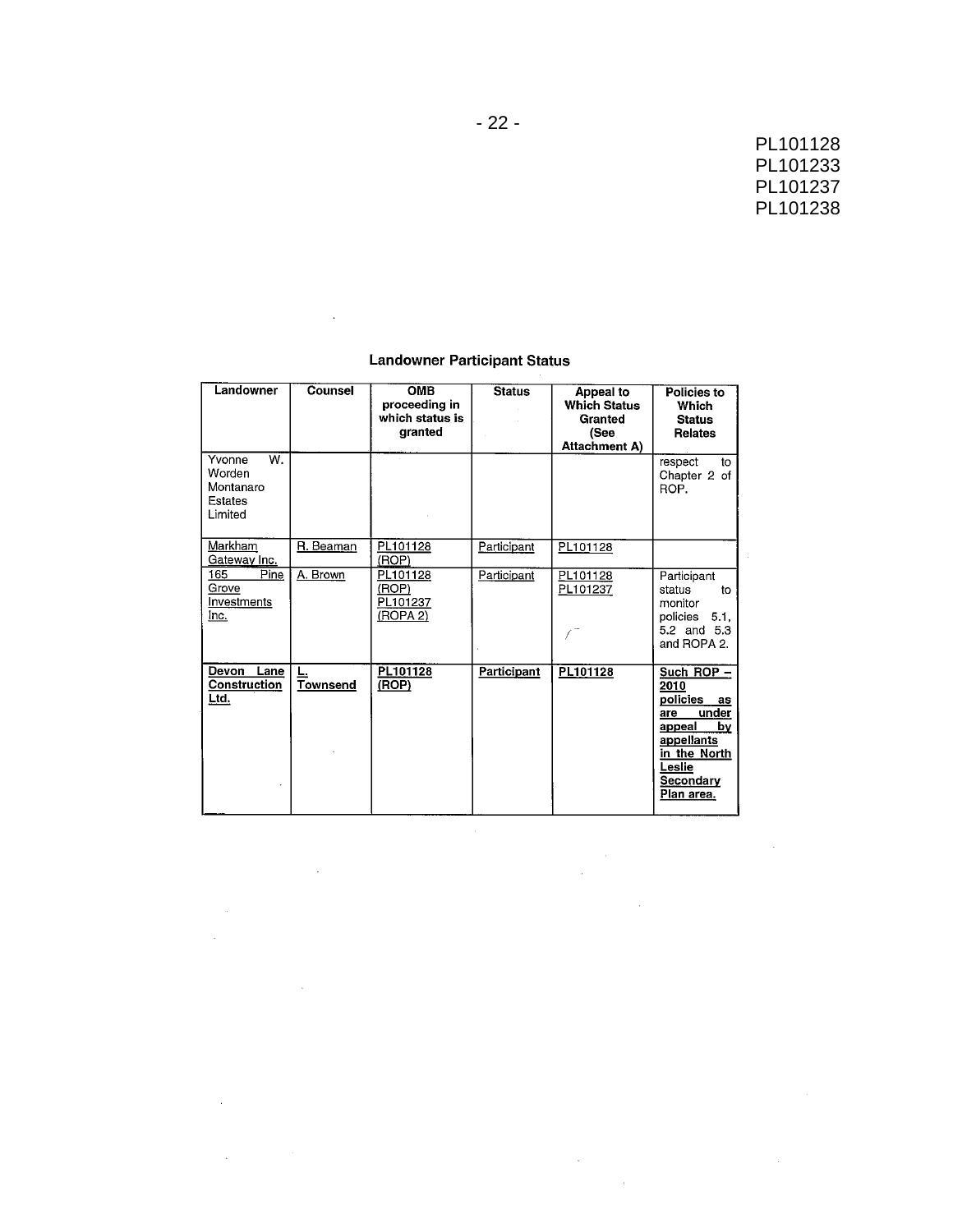$\mathcal{L}_{\mathcal{A}}$ 

 $\sim$ 

### **Landowner Participant Status**

 $\sim 10$ 

 $\sim 10^{11}$ 

 $\mathcal{L}^{\text{max}}_{\text{max}}$ 

 $\mathcal{A}^{\text{max}}_{\text{max}}$ 

 $\Delta \sim 10^4$ 

 $\mathcal{L}(\mathcal{A})$  and  $\mathcal{L}(\mathcal{A})$ 

 $\Delta \sim 10^4$ 

| Landowner                                                 | Counsel         | <b>OMB</b><br>proceeding in<br>which status is<br>granted | <b>Status</b> | <b>Appeal to</b><br><b>Which Status</b><br>Granted<br>(See<br><b>Attachment A)</b> | Policies to<br>Which<br><b>Status</b><br><b>Relates</b>                                                                                          |
|-----------------------------------------------------------|-----------------|-----------------------------------------------------------|---------------|------------------------------------------------------------------------------------|--------------------------------------------------------------------------------------------------------------------------------------------------|
| W.<br>Yvonne<br>Worden<br>Montanaro<br>Estates<br>Limited |                 |                                                           |               |                                                                                    | respect<br>to<br>Chapter 2 of<br>ROP.                                                                                                            |
| Markham<br>Gateway Inc.                                   | R. Beaman       | PL101128<br>(ROP)                                         | Participant   | PL101128                                                                           |                                                                                                                                                  |
| 165<br>Pine<br>Grove<br>Investments<br>Inc.               | A. Brown        | PL101128<br>(ROP)<br>PL101237<br>(ROPA 2)                 | Participant   | PL101128<br>PL101237                                                               | Participant<br>status<br>to<br>monitor<br>policies 5.1.<br>5.2 and 5.3<br>and ROPA 2.                                                            |
| Devon Lane<br>Construction<br>Ltd.                        | <b>Townsend</b> | PL101128<br>(ROP)                                         | Participant   | PL101128                                                                           | Such ROP $-$<br>2010<br>policies<br>as<br>under<br>are<br>appeal<br>bv<br>appellants<br>in the North<br>Leslie<br><b>Secondary</b><br>Plan area. |

 $\mathcal{A}^{\text{max}}$ 

 $\mathcal{L}^{\text{max}}_{\text{max}}$  , where  $\mathcal{L}^{\text{max}}_{\text{max}}$ 

 $\sim 10^{-1}$ 

 $\sim 10^{-1}$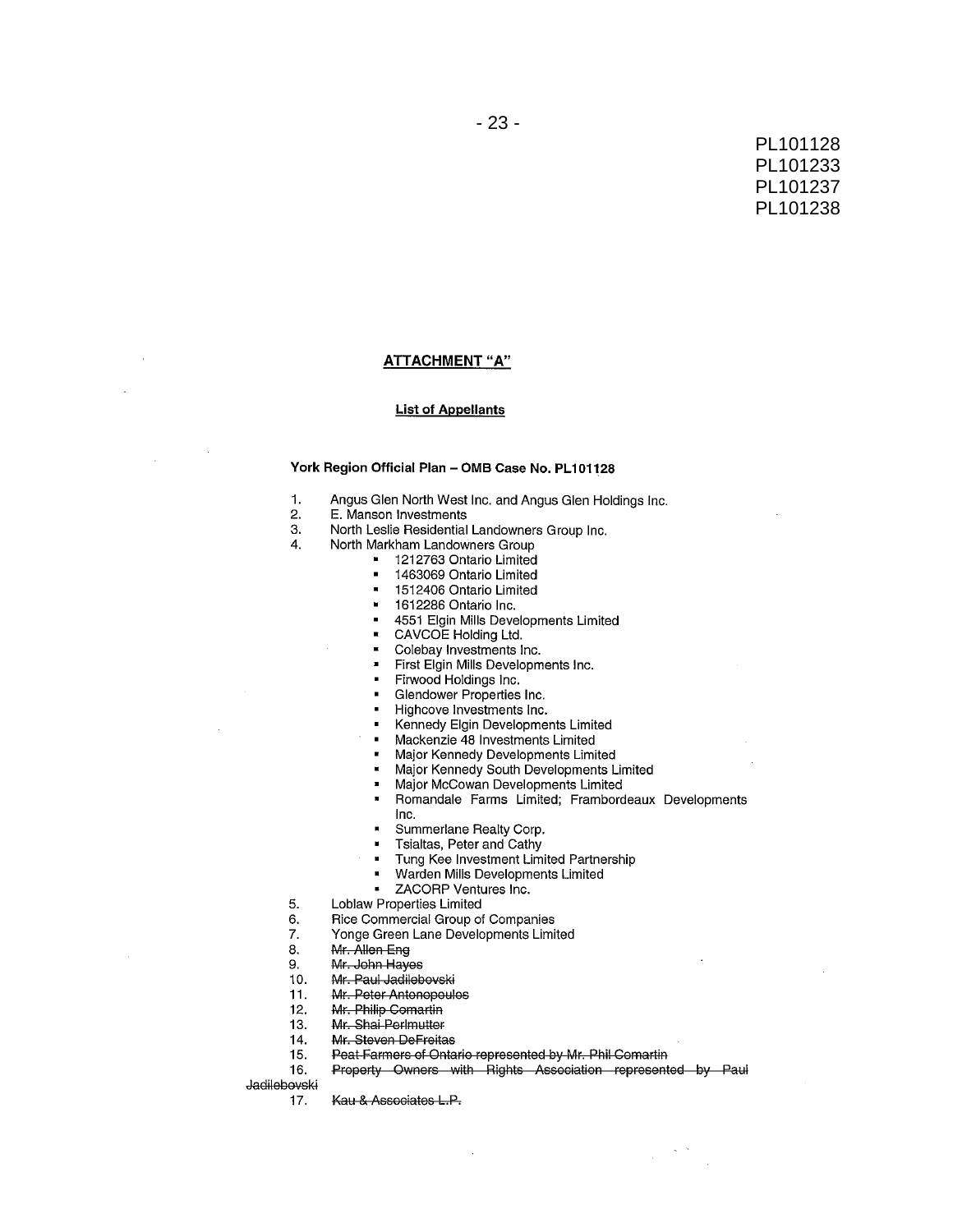#### ATTACHMENT "A"

#### **List of Appellants**

### York Region Official Plan - OMB Case No. PL101128

- $\mathbf{1}$ . Angus Glen North West Inc. and Angus Glen Holdings Inc.
- $2.$ E. Manson Investments
- 3. North Leslie Residential Landowners Group Inc.
- North Markham Landowners Group  $\Delta$ 
	- 1212763 Ontario Limited
		- 1463069 Ontario Limited  $\blacksquare$
		- $\blacksquare$ 1512406 Ontario Limited
		- 1612286 Ontario Inc.  $\blacksquare$
		- 4551 Elgin Mills Developments Limited  $\blacksquare$
	- CAVCOE Holding Ltd.  $\mathbf{r}$ 
		- Colebay Investments Inc.  $\blacksquare$
		- First Elgin Mills Developments Inc.
		- Firwood Holdings Inc.
		- Glendower Properties Inc.
		- Highcove Investments Inc.
		- Kennedy Elgin Developments Limited
	- Mackenzie 48 Investments Limited  $\blacksquare$
	- Major Kennedy Developments Limited  $\blacksquare$
	- Major Kennedy South Developments Limited
	- Major McCowan Developments Limited  $\blacksquare$
	- Romandale Farms Limited; Frambordeaux Developments  $\blacksquare$
	- Inc.
	- Summerlane Realty Corp.  $\blacksquare$
	- Tsialtas, Peter and Cathy  $\blacksquare$
	- Tung Kee Investment Limited Partnership
	- Warden Mills Developments Limited  $\blacksquare$
	- ZACORP Ventures Inc.
- 5. **Loblaw Properties Limited** 
	- Rice Commercial Group of Companies
- 7. Yonge Green Lane Developments Limited
- 8. Mr. Allen Eng
- Mr. John Hayes 9.
- Mr. Paul Jadilebovski  $10.$
- $11.$ Mr. Peter Antonopoulos
- Mr. Philip Comartin  $12.$
- Mr. Shai Perlmutter  $13.$
- 14. Mr. Steven DeFreitas
- Peat Farmers of Ontario represented by Mr. Phil Comartin 15.
- Property Owners with Rights Association represented by Paul 16.

Jadilebovski

6.

Kau & Associates L.P.  $17.$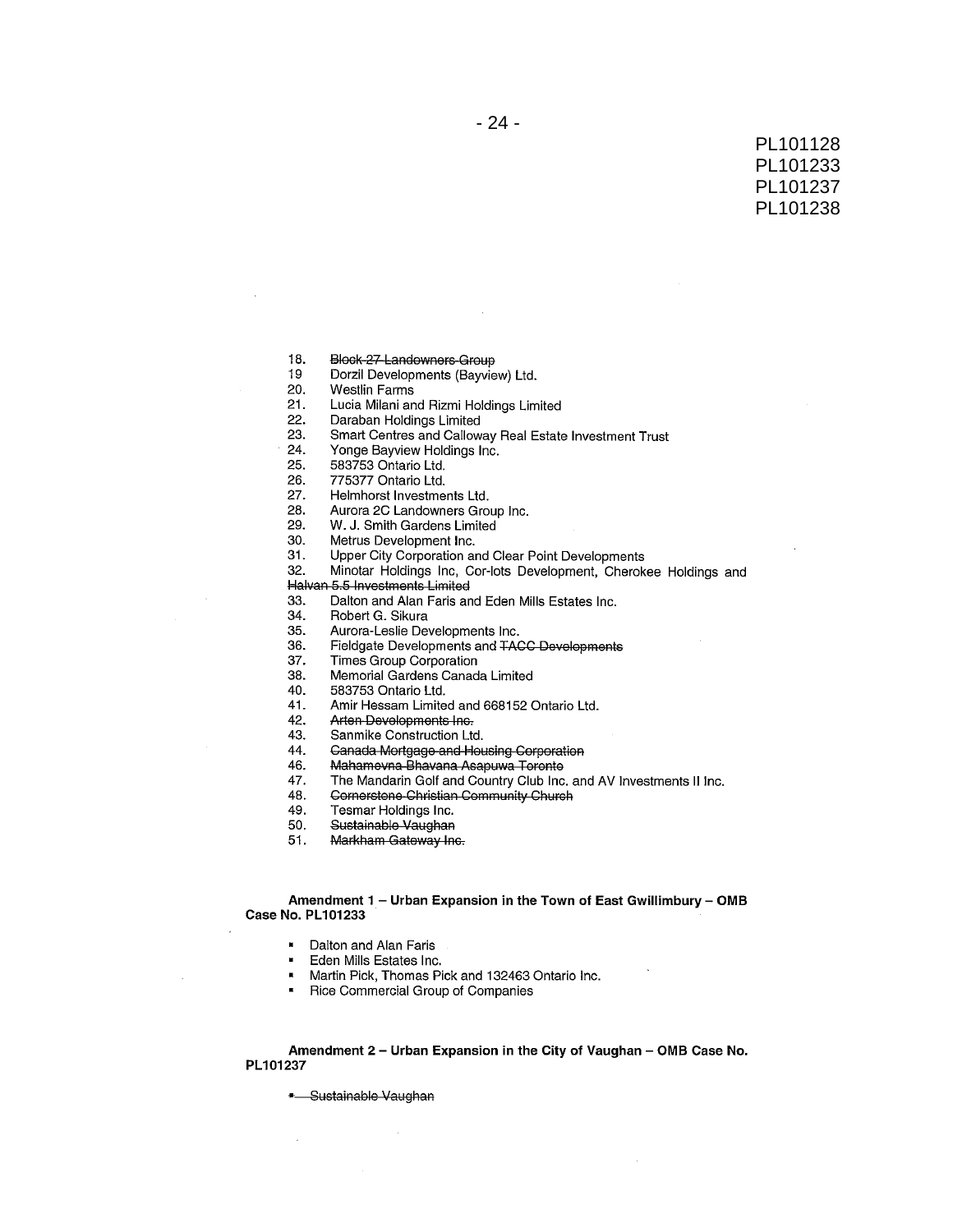- 18. Block-27-Landowners-Group
- 19 Dorzil Developments (Bayview) Ltd.
- 20. **Westlin Farms**
- $21.$ Lucia Milani and Rizmi Holdings Limited
- 22. Daraban Holdings Limited
- 23. Smart Centres and Calloway Real Estate Investment Trust
- 24. Yonge Bayview Holdings Inc.
- 25. 583753 Ontario Ltd.
- 26 775377 Ontario Ltd.
- 27. Helmhorst Investments Ltd.
- 28. Aurora 2C Landowners Group Inc.
- 29. W. J. Smith Gardens Limited
- 30. Metrus Development Inc.
- $31.$ Upper City Corporation and Clear Point Developments
- Minotar Holdings Inc, Cor-lots Development, Cherokee Holdings and 32.
- Halvan 5.5 Investments Limited
- 33. Dalton and Alan Faris and Eden Mills Estates Inc.
- 34. Robert G. Sikura
	- 35. Aurora-Leslie Developments Inc.
	- 36. Fieldgate Developments and TACC Developments
	- 37. Times Group Corporation
	- Memorial Gardens Canada Limited 38.
	- 40. 583753 Ontario Ltd.
	- Amir Hessam Limited and 668152 Ontario Ltd. 41.
	- 42. Arten Developments Inc.
	- 43. Sanmike Construction Ltd.
	- 44. Canada Mortgage and Housing Corporation
	- Mahamevna Bhavana Asapuwa Toronto 46.
	- The Mandarin Golf and Country Club Inc. and AV Investments II Inc. 47.
	- Cornerstone-Christian Community Church 48.
	- 49. Tesmar Holdings Inc.
	- Sustainable Vaughan 50.
	- 51. Markham Gateway Inc.

#### Amendment 1 - Urban Expansion in the Town of East Gwillimbury - OMB Case No. PL101233

- Dalton and Alan Faris
- Eden Mills Estates Inc.
- Martin Pick, Thomas Pick and 132463 Ontario Inc.
- Rice Commercial Group of Companies

Amendment 2 - Urban Expansion in the City of Vaughan - OMB Case No. PL101237

- Sustainable Vaughan

 $\mathcal{L}$